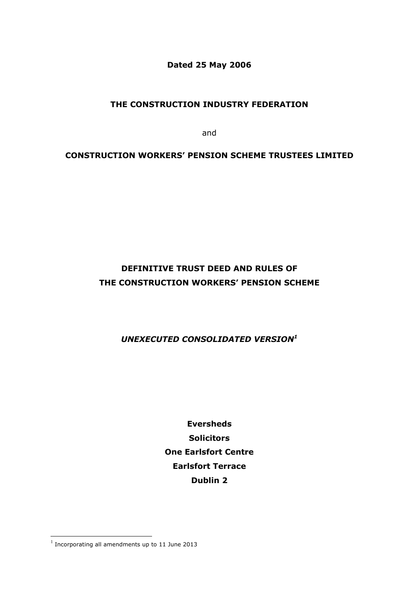**Dated 25 May 2006**

# **THE CONSTRUCTION INDUSTRY FEDERATION**

and

# **CONSTRUCTION WORKERS' PENSION SCHEME TRUSTEES LIMITED**

# **DEFINITIVE TRUST DEED AND RULES OF THE CONSTRUCTION WORKERS' PENSION SCHEME**

# *UNEXECUTED CONSOLIDATED VERSION<sup>1</sup>*

**Eversheds Solicitors One Earlsfort Centre Earlsfort Terrace Dublin 2**

 1 Incorporating all amendments up to 11 June 2013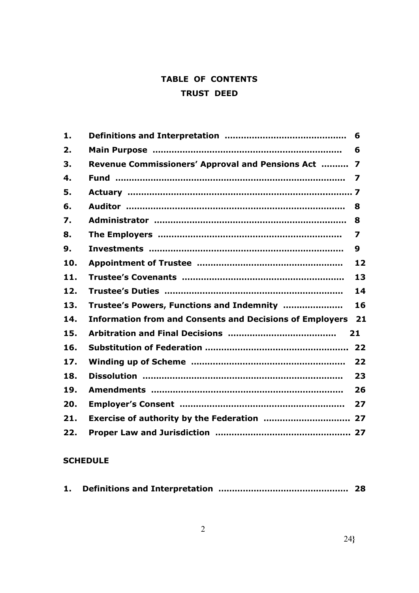# **TABLE OF CONTENTS TRUST DEED**

| 1.  |                                                                 | 6  |
|-----|-----------------------------------------------------------------|----|
| 2.  |                                                                 | 6  |
| 3.  | Revenue Commissioners' Approval and Pensions Act                | 7  |
| 4.  |                                                                 |    |
| 5.  |                                                                 |    |
| 6.  |                                                                 | 8  |
| 7.  |                                                                 | 8  |
| 8.  |                                                                 | 7  |
| 9.  |                                                                 | 9  |
| 10. |                                                                 | 12 |
| 11. |                                                                 | 13 |
| 12. |                                                                 | 14 |
| 13. | Trustee's Powers, Functions and Indemnity                       | 16 |
| 14. | <b>Information from and Consents and Decisions of Employers</b> | 21 |
| 15. |                                                                 | 21 |
| 16. |                                                                 | 22 |
| 17. |                                                                 | 22 |
| 18. |                                                                 | 23 |
| 19. |                                                                 | 26 |
| 20. |                                                                 | 27 |
| 21. |                                                                 |    |
| 22. |                                                                 |    |

# **SCHEDULE**

| 1. |  |  |  |
|----|--|--|--|
|----|--|--|--|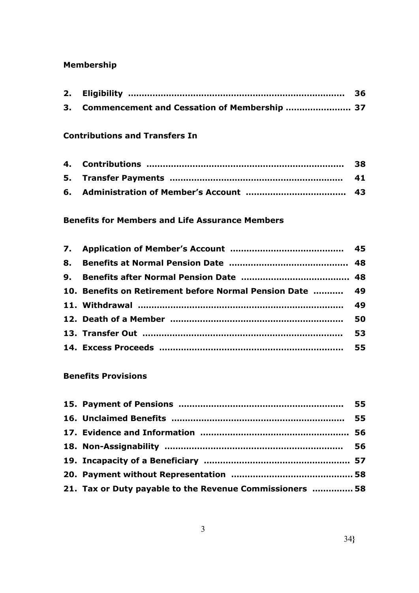# **Membership**

| 3. Commencement and Cessation of Membership  37 |  |
|-------------------------------------------------|--|

# **Contributions and Transfers In**

# **Benefits for Members and Life Assurance Members**

| 10. Benefits on Retirement before Normal Pension Date  49 |  |
|-----------------------------------------------------------|--|
|                                                           |  |
|                                                           |  |
|                                                           |  |
|                                                           |  |

# **Benefits Provisions**

| 21. Tax or Duty payable to the Revenue Commissioners  58 |  |
|----------------------------------------------------------|--|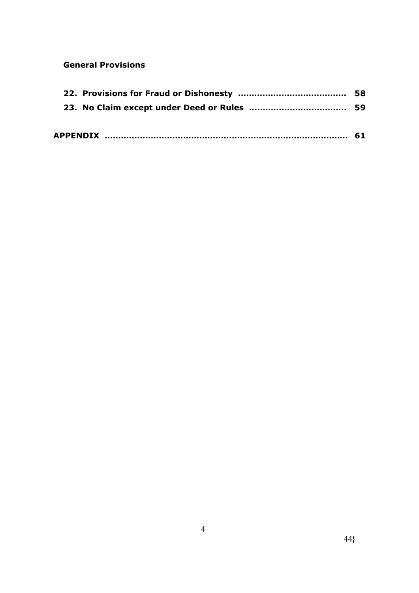# **General Provisions**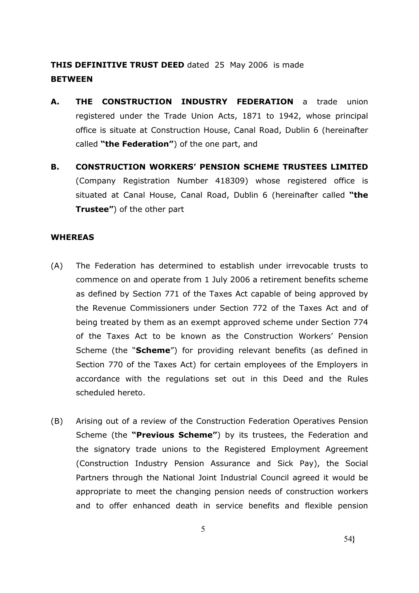**THIS DEFINITIVE TRUST DEED** dated 25 May 2006 is made **BETWEEN**

- **A. THE CONSTRUCTION INDUSTRY FEDERATION** a trade union registered under the Trade Union Acts, 1871 to 1942, whose principal office is situate at Construction House, Canal Road, Dublin 6 (hereinafter called **"the Federation"**) of the one part, and
- **B. CONSTRUCTION WORKERS' PENSION SCHEME TRUSTEES LIMITED**  (Company Registration Number 418309) whose registered office is situated at Canal House, Canal Road, Dublin 6 (hereinafter called **"the Trustee"**) of the other part

#### **WHEREAS**

- (A) The Federation has determined to establish under irrevocable trusts to commence on and operate from 1 July 2006 a retirement benefits scheme as defined by Section 771 of the Taxes Act capable of being approved by the Revenue Commissioners under Section 772 of the Taxes Act and of being treated by them as an exempt approved scheme under Section 774 of the Taxes Act to be known as the Construction Workers' Pension Scheme (the "**Scheme**") for providing relevant benefits (as defined in Section 770 of the Taxes Act) for certain employees of the Employers in accordance with the regulations set out in this Deed and the Rules scheduled hereto.
- (B) Arising out of a review of the Construction Federation Operatives Pension Scheme (the **"Previous Scheme"**) by its trustees, the Federation and the signatory trade unions to the Registered Employment Agreement (Construction Industry Pension Assurance and Sick Pay), the Social Partners through the National Joint Industrial Council agreed it would be appropriate to meet the changing pension needs of construction workers and to offer enhanced death in service benefits and flexible pension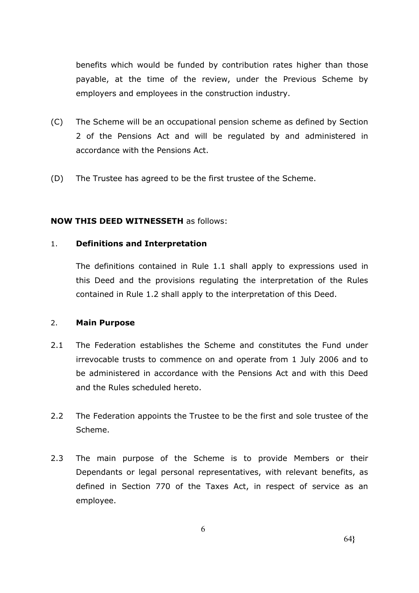benefits which would be funded by contribution rates higher than those payable, at the time of the review, under the Previous Scheme by employers and employees in the construction industry.

- (C) The Scheme will be an occupational pension scheme as defined by Section 2 of the Pensions Act and will be regulated by and administered in accordance with the Pensions Act.
- (D) The Trustee has agreed to be the first trustee of the Scheme.

# **NOW THIS DEED WITNESSETH** as follows:

#### 1. **Definitions and Interpretation**

The definitions contained in Rule 1.1 shall apply to expressions used in this Deed and the provisions regulating the interpretation of the Rules contained in Rule 1.2 shall apply to the interpretation of this Deed.

#### 2. **Main Purpose**

- 2.1 The Federation establishes the Scheme and constitutes the Fund under irrevocable trusts to commence on and operate from 1 July 2006 and to be administered in accordance with the Pensions Act and with this Deed and the Rules scheduled hereto.
- 2.2 The Federation appoints the Trustee to be the first and sole trustee of the Scheme.
- 2.3 The main purpose of the Scheme is to provide Members or their Dependants or legal personal representatives, with relevant benefits, as defined in Section 770 of the Taxes Act, in respect of service as an employee.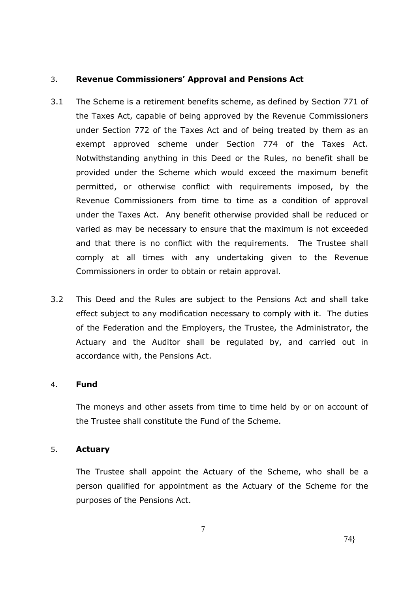# 3. **Revenue Commissioners' Approval and Pensions Act**

- 3.1 The Scheme is a retirement benefits scheme, as defined by Section 771 of the Taxes Act, capable of being approved by the Revenue Commissioners under Section 772 of the Taxes Act and of being treated by them as an exempt approved scheme under Section 774 of the Taxes Act. Notwithstanding anything in this Deed or the Rules, no benefit shall be provided under the Scheme which would exceed the maximum benefit permitted, or otherwise conflict with requirements imposed, by the Revenue Commissioners from time to time as a condition of approval under the Taxes Act. Any benefit otherwise provided shall be reduced or varied as may be necessary to ensure that the maximum is not exceeded and that there is no conflict with the requirements. The Trustee shall comply at all times with any undertaking given to the Revenue Commissioners in order to obtain or retain approval.
- 3.2 This Deed and the Rules are subject to the Pensions Act and shall take effect subject to any modification necessary to comply with it. The duties of the Federation and the Employers, the Trustee, the Administrator, the Actuary and the Auditor shall be regulated by, and carried out in accordance with, the Pensions Act.

# 4. **Fund**

The moneys and other assets from time to time held by or on account of the Trustee shall constitute the Fund of the Scheme.

# 5. **Actuary**

The Trustee shall appoint the Actuary of the Scheme, who shall be a person qualified for appointment as the Actuary of the Scheme for the purposes of the Pensions Act.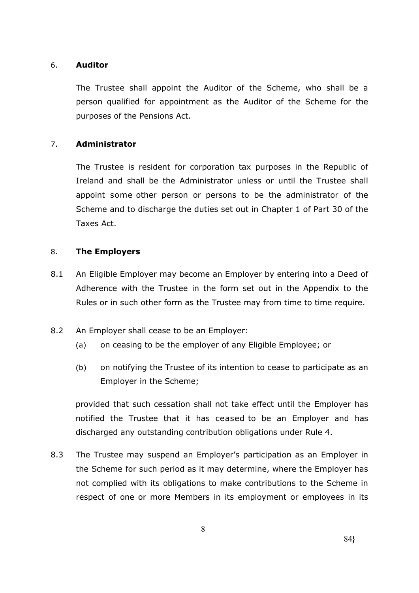### 6. **Auditor**

The Trustee shall appoint the Auditor of the Scheme, who shall be a person qualified for appointment as the Auditor of the Scheme for the purposes of the Pensions Act.

# 7. **Administrator**

The Trustee is resident for corporation tax purposes in the Republic of Ireland and shall be the Administrator unless or until the Trustee shall appoint some other person or persons to be the administrator of the Scheme and to discharge the duties set out in Chapter 1 of Part 30 of the Taxes Act.

### 8. **The Employers**

- 8.1 An Eligible Employer may become an Employer by entering into a Deed of Adherence with the Trustee in the form set out in the Appendix to the Rules or in such other form as the Trustee may from time to time require.
- 8.2 An Employer shall cease to be an Employer:
	- (a) on ceasing to be the employer of any Eligible Employee; or
	- (b) on notifying the Trustee of its intention to cease to participate as an Employer in the Scheme;

provided that such cessation shall not take effect until the Employer has notified the Trustee that it has ceased to be an Employer and has discharged any outstanding contribution obligations under Rule 4.

8.3 The Trustee may suspend an Employer's participation as an Employer in the Scheme for such period as it may determine, where the Employer has not complied with its obligations to make contributions to the Scheme in respect of one or more Members in its employment or employees in its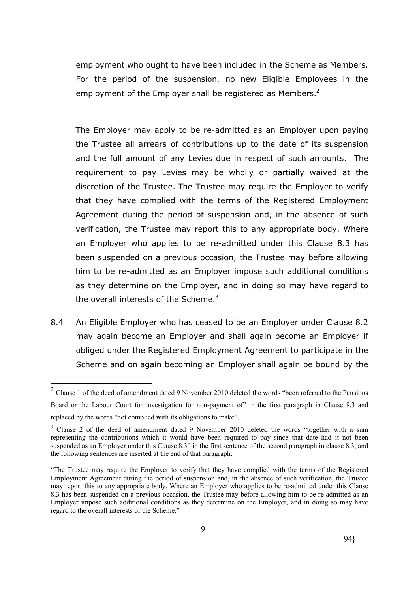employment who ought to have been included in the Scheme as Members. For the period of the suspension, no new Eligible Employees in the employment of the Employer shall be registered as Members. $2$ 

The Employer may apply to be re-admitted as an Employer upon paying the Trustee all arrears of contributions up to the date of its suspension and the full amount of any Levies due in respect of such amounts. The requirement to pay Levies may be wholly or partially waived at the discretion of the Trustee. The Trustee may require the Employer to verify that they have complied with the terms of the Registered Employment Agreement during the period of suspension and, in the absence of such verification, the Trustee may report this to any appropriate body. Where an Employer who applies to be re-admitted under this Clause 8.3 has been suspended on a previous occasion, the Trustee may before allowing him to be re-admitted as an Employer impose such additional conditions as they determine on the Employer, and in doing so may have regard to the overall interests of the Scheme. $3$ 

8.4 An Eligible Employer who has ceased to be an Employer under Clause 8.2 may again become an Employer and shall again become an Employer if obliged under the Registered Employment Agreement to participate in the Scheme and on again becoming an Employer shall again be bound by the

<u>.</u>

 $2$  Clause 1 of the deed of amendment dated 9 November 2010 deleted the words "been referred to the Pensions Board or the Labour Court for investigation for non-payment of" in the first paragraph in Clause 8.3 and replaced by the words "not complied with its obligations to make".

<sup>&</sup>lt;sup>3</sup> Clause 2 of the deed of amendment dated 9 November 2010 deleted the words "together with a sum representing the contributions which it would have been required to pay since that date had it not been suspended as an Employer under this Clause 8.3" in the first sentence of the second paragraph in clause 8.3, and the following sentences are inserted at the end of that paragraph:

<sup>&</sup>quot;The Trustee may require the Employer to verify that they have complied with the terms of the Registered Employment Agreement during the period of suspension and, in the absence of such verification, the Trustee may report this to any appropriate body. Where an Employer who applies to be re-admitted under this Clause 8.3 has been suspended on a previous occasion, the Trustee may before allowing him to be re-admitted as an Employer impose such additional conditions as they determine on the Employer, and in doing so may have regard to the overall interests of the Scheme."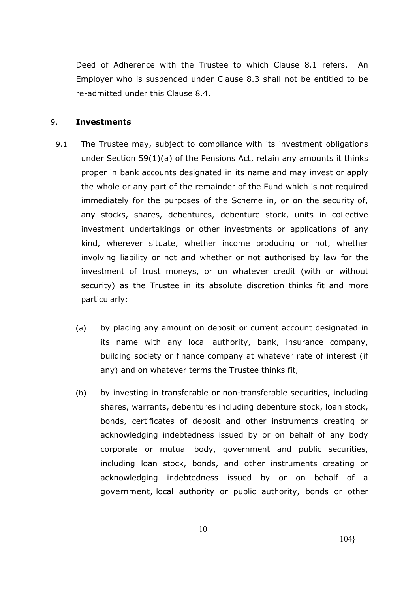Deed of Adherence with the Trustee to which Clause 8.1 refers. An Employer who is suspended under Clause 8.3 shall not be entitled to be re-admitted under this Clause 8.4.

#### 9. **Investments**

- 9.1 The Trustee may, subject to compliance with its investment obligations under Section 59(1)(a) of the Pensions Act, retain any amounts it thinks proper in bank accounts designated in its name and may invest or apply the whole or any part of the remainder of the Fund which is not required immediately for the purposes of the Scheme in, or on the security of, any stocks, shares, debentures, debenture stock, units in collective investment undertakings or other investments or applications of any kind, wherever situate, whether income producing or not, whether involving liability or not and whether or not authorised by law for the investment of trust moneys, or on whatever credit (with or without security) as the Trustee in its absolute discretion thinks fit and more particularly:
	- (a) by placing any amount on deposit or current account designated in its name with any local authority, bank, insurance company, building society or finance company at whatever rate of interest (if any) and on whatever terms the Trustee thinks fit,
	- (b) by investing in transferable or non-transferable securities, including shares, warrants, debentures including debenture stock, loan stock, bonds, certificates of deposit and other instruments creating or acknowledging indebtedness issued by or on behalf of any body corporate or mutual body, government and public securities, including loan stock, bonds, and other instruments creating or acknowledging indebtedness issued by or on behalf of a government, local authority or public authority, bonds or other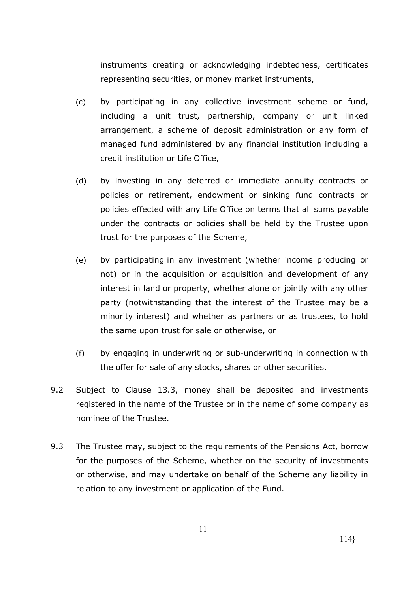instruments creating or acknowledging indebtedness, certificates representing securities, or money market instruments,

- (c) by participating in any collective investment scheme or fund, including a unit trust, partnership, company or unit linked arrangement, a scheme of deposit administration or any form of managed fund administered by any financial institution including a credit institution or Life Office,
- (d) by investing in any deferred or immediate annuity contracts or policies or retirement, endowment or sinking fund contracts or policies effected with any Life Office on terms that all sums payable under the contracts or policies shall be held by the Trustee upon trust for the purposes of the Scheme,
- (e) by participating in any investment (whether income producing or not) or in the acquisition or acquisition and development of any interest in land or property, whether alone or jointly with any other party (notwithstanding that the interest of the Trustee may be a minority interest) and whether as partners or as trustees, to hold the same upon trust for sale or otherwise, or
- (f) by engaging in underwriting or sub-underwriting in connection with the offer for sale of any stocks, shares or other securities.
- 9.2 Subject to Clause 13.3, money shall be deposited and investments registered in the name of the Trustee or in the name of some company as nominee of the Trustee.
- 9.3 The Trustee may, subject to the requirements of the Pensions Act, borrow for the purposes of the Scheme, whether on the security of investments or otherwise, and may undertake on behalf of the Scheme any liability in relation to any investment or application of the Fund.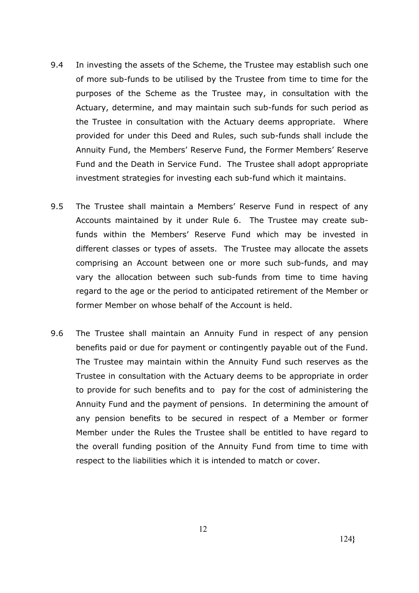- 9.4 In investing the assets of the Scheme, the Trustee may establish such one of more sub-funds to be utilised by the Trustee from time to time for the purposes of the Scheme as the Trustee may, in consultation with the Actuary, determine, and may maintain such sub-funds for such period as the Trustee in consultation with the Actuary deems appropriate. Where provided for under this Deed and Rules, such sub-funds shall include the Annuity Fund, the Members' Reserve Fund, the Former Members' Reserve Fund and the Death in Service Fund. The Trustee shall adopt appropriate investment strategies for investing each sub-fund which it maintains.
- 9.5 The Trustee shall maintain a Members' Reserve Fund in respect of any Accounts maintained by it under Rule 6. The Trustee may create subfunds within the Members' Reserve Fund which may be invested in different classes or types of assets. The Trustee may allocate the assets comprising an Account between one or more such sub-funds, and may vary the allocation between such sub-funds from time to time having regard to the age or the period to anticipated retirement of the Member or former Member on whose behalf of the Account is held.
- 9.6 The Trustee shall maintain an Annuity Fund in respect of any pension benefits paid or due for payment or contingently payable out of the Fund. The Trustee may maintain within the Annuity Fund such reserves as the Trustee in consultation with the Actuary deems to be appropriate in order to provide for such benefits and to pay for the cost of administering the Annuity Fund and the payment of pensions. In determining the amount of any pension benefits to be secured in respect of a Member or former Member under the Rules the Trustee shall be entitled to have regard to the overall funding position of the Annuity Fund from time to time with respect to the liabilities which it is intended to match or cover.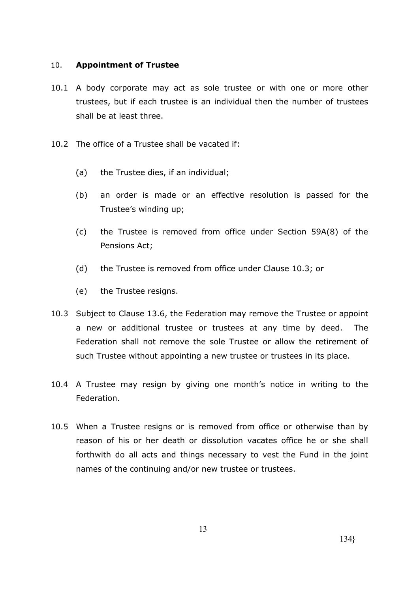#### 10. **Appointment of Trustee**

- 10.1 A body corporate may act as sole trustee or with one or more other trustees, but if each trustee is an individual then the number of trustees shall be at least three.
- 10.2 The office of a Trustee shall be vacated if:
	- (a) the Trustee dies, if an individual;
	- (b) an order is made or an effective resolution is passed for the Trustee's winding up;
	- (c) the Trustee is removed from office under Section 59A(8) of the Pensions Act;
	- (d) the Trustee is removed from office under Clause 10.3; or
	- (e) the Trustee resigns.
- 10.3 Subject to Clause 13.6, the Federation may remove the Trustee or appoint a new or additional trustee or trustees at any time by deed. The Federation shall not remove the sole Trustee or allow the retirement of such Trustee without appointing a new trustee or trustees in its place.
- 10.4 A Trustee may resign by giving one month's notice in writing to the Federation.
- 10.5 When a Trustee resigns or is removed from office or otherwise than by reason of his or her death or dissolution vacates office he or she shall forthwith do all acts and things necessary to vest the Fund in the joint names of the continuing and/or new trustee or trustees.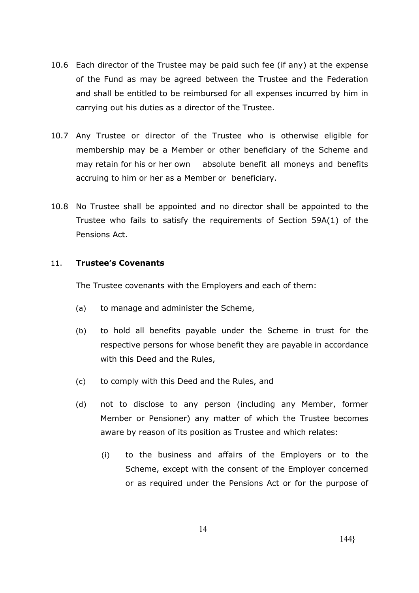- 10.6 Each director of the Trustee may be paid such fee (if any) at the expense of the Fund as may be agreed between the Trustee and the Federation and shall be entitled to be reimbursed for all expenses incurred by him in carrying out his duties as a director of the Trustee.
- 10.7 Any Trustee or director of the Trustee who is otherwise eligible for membership may be a Member or other beneficiary of the Scheme and may retain for his or her own absolute benefit all moneys and benefits accruing to him or her as a Member or beneficiary.
- 10.8 No Trustee shall be appointed and no director shall be appointed to the Trustee who fails to satisfy the requirements of Section 59A(1) of the Pensions Act.

### 11. **Trustee's Covenants**

The Trustee covenants with the Employers and each of them:

- (a) to manage and administer the Scheme,
- (b) to hold all benefits payable under the Scheme in trust for the respective persons for whose benefit they are payable in accordance with this Deed and the Rules,
- (c) to comply with this Deed and the Rules, and
- (d) not to disclose to any person (including any Member, former Member or Pensioner) any matter of which the Trustee becomes aware by reason of its position as Trustee and which relates:
	- (i) to the business and affairs of the Employers or to the Scheme, except with the consent of the Employer concerned or as required under the Pensions Act or for the purpose of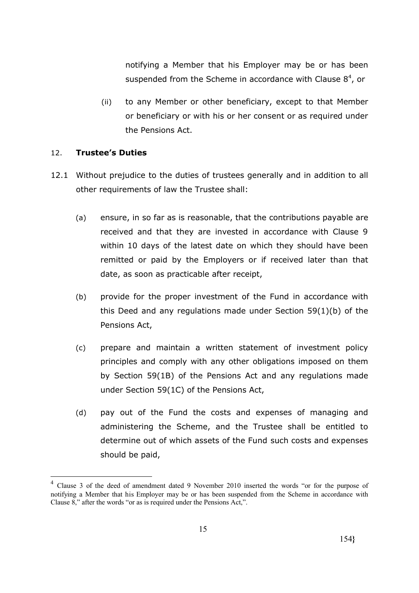notifying a Member that his Employer may be or has been suspended from the Scheme in accordance with Clause  $8^4$ , or

(ii) to any Member or other beneficiary, except to that Member or beneficiary or with his or her consent or as required under the Pensions Act.

### 12. **Trustee's Duties**

<u>.</u>

- 12.1 Without prejudice to the duties of trustees generally and in addition to all other requirements of law the Trustee shall:
	- (a) ensure, in so far as is reasonable, that the contributions payable are received and that they are invested in accordance with Clause 9 within 10 days of the latest date on which they should have been remitted or paid by the Employers or if received later than that date, as soon as practicable after receipt,
	- (b) provide for the proper investment of the Fund in accordance with this Deed and any regulations made under Section 59(1)(b) of the Pensions Act,
	- (c) prepare and maintain a written statement of investment policy principles and comply with any other obligations imposed on them by Section 59(1B) of the Pensions Act and any regulations made under Section 59(1C) of the Pensions Act,
	- (d) pay out of the Fund the costs and expenses of managing and administering the Scheme, and the Trustee shall be entitled to determine out of which assets of the Fund such costs and expenses should be paid,

<sup>4</sup> Clause 3 of the deed of amendment dated 9 November 2010 inserted the words "or for the purpose of notifying a Member that his Employer may be or has been suspended from the Scheme in accordance with Clause 8," after the words "or as is required under the Pensions Act,".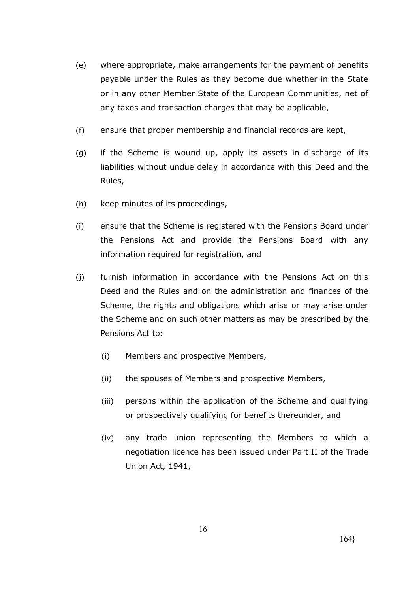- (e) where appropriate, make arrangements for the payment of benefits payable under the Rules as they become due whether in the State or in any other Member State of the European Communities, net of any taxes and transaction charges that may be applicable,
- (f) ensure that proper membership and financial records are kept,
- (g) if the Scheme is wound up, apply its assets in discharge of its liabilities without undue delay in accordance with this Deed and the Rules,
- (h) keep minutes of its proceedings,
- (i) ensure that the Scheme is registered with the Pensions Board under the Pensions Act and provide the Pensions Board with any information required for registration, and
- (j) furnish information in accordance with the Pensions Act on this Deed and the Rules and on the administration and finances of the Scheme, the rights and obligations which arise or may arise under the Scheme and on such other matters as may be prescribed by the Pensions Act to:
	- (i) Members and prospective Members,
	- (ii) the spouses of Members and prospective Members,
	- (iii) persons within the application of the Scheme and qualifying or prospectively qualifying for benefits thereunder, and
	- (iv) any trade union representing the Members to which a negotiation licence has been issued under Part II of the Trade Union Act, 1941,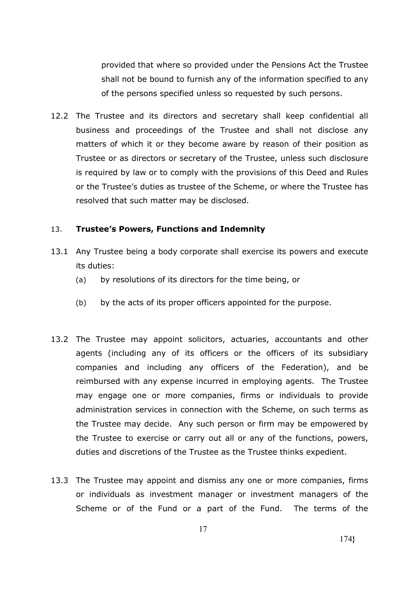provided that where so provided under the Pensions Act the Trustee shall not be bound to furnish any of the information specified to any of the persons specified unless so requested by such persons.

12.2 The Trustee and its directors and secretary shall keep confidential all business and proceedings of the Trustee and shall not disclose any matters of which it or they become aware by reason of their position as Trustee or as directors or secretary of the Trustee, unless such disclosure is required by law or to comply with the provisions of this Deed and Rules or the Trustee's duties as trustee of the Scheme, or where the Trustee has resolved that such matter may be disclosed.

#### 13. **Trustee's Powers, Functions and Indemnity**

- 13.1 Any Trustee being a body corporate shall exercise its powers and execute its duties:
	- (a) by resolutions of its directors for the time being, or
	- (b) by the acts of its proper officers appointed for the purpose.
- 13.2 The Trustee may appoint solicitors, actuaries, accountants and other agents (including any of its officers or the officers of its subsidiary companies and including any officers of the Federation), and be reimbursed with any expense incurred in employing agents. The Trustee may engage one or more companies, firms or individuals to provide administration services in connection with the Scheme, on such terms as the Trustee may decide. Any such person or firm may be empowered by the Trustee to exercise or carry out all or any of the functions, powers, duties and discretions of the Trustee as the Trustee thinks expedient.
- 13.3 The Trustee may appoint and dismiss any one or more companies, firms or individuals as investment manager or investment managers of the Scheme or of the Fund or a part of the Fund. The terms of the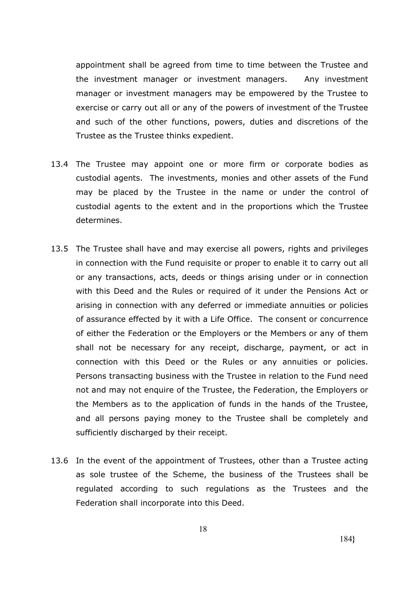appointment shall be agreed from time to time between the Trustee and the investment manager or investment managers. Any investment manager or investment managers may be empowered by the Trustee to exercise or carry out all or any of the powers of investment of the Trustee and such of the other functions, powers, duties and discretions of the Trustee as the Trustee thinks expedient.

- 13.4 The Trustee may appoint one or more firm or corporate bodies as custodial agents. The investments, monies and other assets of the Fund may be placed by the Trustee in the name or under the control of custodial agents to the extent and in the proportions which the Trustee determines.
- 13.5 The Trustee shall have and may exercise all powers, rights and privileges in connection with the Fund requisite or proper to enable it to carry out all or any transactions, acts, deeds or things arising under or in connection with this Deed and the Rules or required of it under the Pensions Act or arising in connection with any deferred or immediate annuities or policies of assurance effected by it with a Life Office. The consent or concurrence of either the Federation or the Employers or the Members or any of them shall not be necessary for any receipt, discharge, payment, or act in connection with this Deed or the Rules or any annuities or policies. Persons transacting business with the Trustee in relation to the Fund need not and may not enquire of the Trustee, the Federation, the Employers or the Members as to the application of funds in the hands of the Trustee, and all persons paying money to the Trustee shall be completely and sufficiently discharged by their receipt.
- 13.6 In the event of the appointment of Trustees, other than a Trustee acting as sole trustee of the Scheme, the business of the Trustees shall be regulated according to such regulations as the Trustees and the Federation shall incorporate into this Deed.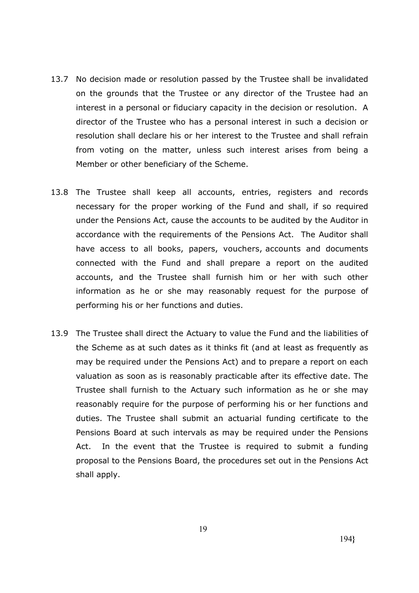- 13.7 No decision made or resolution passed by the Trustee shall be invalidated on the grounds that the Trustee or any director of the Trustee had an interest in a personal or fiduciary capacity in the decision or resolution. A director of the Trustee who has a personal interest in such a decision or resolution shall declare his or her interest to the Trustee and shall refrain from voting on the matter, unless such interest arises from being a Member or other beneficiary of the Scheme.
- 13.8 The Trustee shall keep all accounts, entries, registers and records necessary for the proper working of the Fund and shall, if so required under the Pensions Act, cause the accounts to be audited by the Auditor in accordance with the requirements of the Pensions Act. The Auditor shall have access to all books, papers, vouchers, accounts and documents connected with the Fund and shall prepare a report on the audited accounts, and the Trustee shall furnish him or her with such other information as he or she may reasonably request for the purpose of performing his or her functions and duties.
- 13.9 The Trustee shall direct the Actuary to value the Fund and the liabilities of the Scheme as at such dates as it thinks fit (and at least as frequently as may be required under the Pensions Act) and to prepare a report on each valuation as soon as is reasonably practicable after its effective date. The Trustee shall furnish to the Actuary such information as he or she may reasonably require for the purpose of performing his or her functions and duties. The Trustee shall submit an actuarial funding certificate to the Pensions Board at such intervals as may be required under the Pensions Act. In the event that the Trustee is required to submit a funding proposal to the Pensions Board, the procedures set out in the Pensions Act shall apply.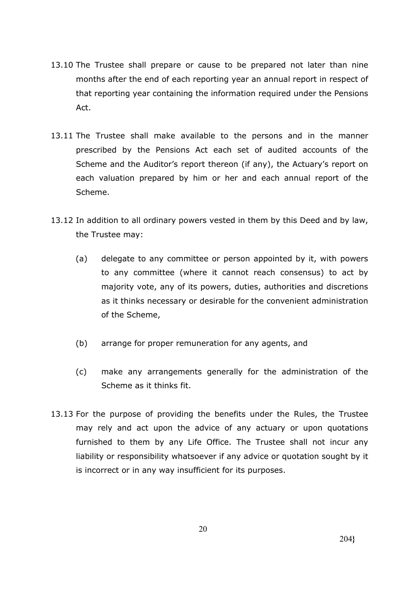- 13.10 The Trustee shall prepare or cause to be prepared not later than nine months after the end of each reporting year an annual report in respect of that reporting year containing the information required under the Pensions Act.
- 13.11 The Trustee shall make available to the persons and in the manner prescribed by the Pensions Act each set of audited accounts of the Scheme and the Auditor's report thereon (if any), the Actuary's report on each valuation prepared by him or her and each annual report of the Scheme.
- 13.12 In addition to all ordinary powers vested in them by this Deed and by law, the Trustee may:
	- (a) delegate to any committee or person appointed by it, with powers to any committee (where it cannot reach consensus) to act by majority vote, any of its powers, duties, authorities and discretions as it thinks necessary or desirable for the convenient administration of the Scheme,
	- (b) arrange for proper remuneration for any agents, and
	- (c) make any arrangements generally for the administration of the Scheme as it thinks fit.
- 13.13 For the purpose of providing the benefits under the Rules, the Trustee may rely and act upon the advice of any actuary or upon quotations furnished to them by any Life Office. The Trustee shall not incur any liability or responsibility whatsoever if any advice or quotation sought by it is incorrect or in any way insufficient for its purposes.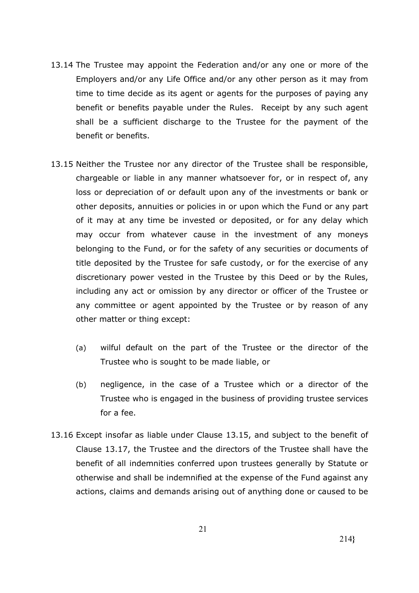- 13.14 The Trustee may appoint the Federation and/or any one or more of the Employers and/or any Life Office and/or any other person as it may from time to time decide as its agent or agents for the purposes of paying any benefit or benefits payable under the Rules. Receipt by any such agent shall be a sufficient discharge to the Trustee for the payment of the benefit or benefits.
- 13.15 Neither the Trustee nor any director of the Trustee shall be responsible, chargeable or liable in any manner whatsoever for, or in respect of, any loss or depreciation of or default upon any of the investments or bank or other deposits, annuities or policies in or upon which the Fund or any part of it may at any time be invested or deposited, or for any delay which may occur from whatever cause in the investment of any moneys belonging to the Fund, or for the safety of any securities or documents of title deposited by the Trustee for safe custody, or for the exercise of any discretionary power vested in the Trustee by this Deed or by the Rules, including any act or omission by any director or officer of the Trustee or any committee or agent appointed by the Trustee or by reason of any other matter or thing except:
	- (a) wilful default on the part of the Trustee or the director of the Trustee who is sought to be made liable, or
	- (b) negligence, in the case of a Trustee which or a director of the Trustee who is engaged in the business of providing trustee services for a fee.
- 13.16 Except insofar as liable under Clause 13.15, and subject to the benefit of Clause 13.17, the Trustee and the directors of the Trustee shall have the benefit of all indemnities conferred upon trustees generally by Statute or otherwise and shall be indemnified at the expense of the Fund against any actions, claims and demands arising out of anything done or caused to be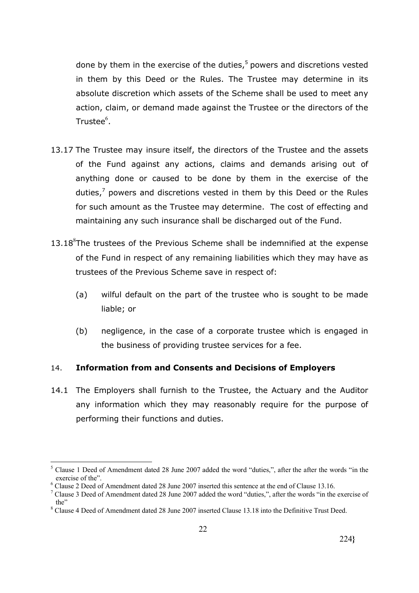done by them in the exercise of the duties, <sup>5</sup> powers and discretions vested in them by this Deed or the Rules. The Trustee may determine in its absolute discretion which assets of the Scheme shall be used to meet any action, claim, or demand made against the Trustee or the directors of the Trustee $^6$ .

- 13.17 The Trustee may insure itself, the directors of the Trustee and the assets of the Fund against any actions, claims and demands arising out of anything done or caused to be done by them in the exercise of the duties, $<sup>7</sup>$  powers and discretions vested in them by this Deed or the Rules</sup> for such amount as the Trustee may determine. The cost of effecting and maintaining any such insurance shall be discharged out of the Fund.
- $13.18<sup>8</sup>$ The trustees of the Previous Scheme shall be indemnified at the expense of the Fund in respect of any remaining liabilities which they may have as trustees of the Previous Scheme save in respect of:
	- (a) wilful default on the part of the trustee who is sought to be made liable; or
	- (b) negligence, in the case of a corporate trustee which is engaged in the business of providing trustee services for a fee.

# 14. **Information from and Consents and Decisions of Employers**

14.1 The Employers shall furnish to the Trustee, the Actuary and the Auditor any information which they may reasonably require for the purpose of performing their functions and duties.

<sup>&</sup>lt;sup>5</sup> Clause 1 Deed of Amendment dated 28 June 2007 added the word "duties,", after the after the words "in the exercise of the".

<sup>&</sup>lt;sup>6</sup> Clause 2 Deed of Amendment dated 28 June 2007 inserted this sentence at the end of Clause 13.16.

<sup>&</sup>lt;sup>7</sup> Clause 3 Deed of Amendment dated 28 June 2007 added the word "duties,", after the words "in the exercise of the"

<sup>&</sup>lt;sup>8</sup> Clause 4 Deed of Amendment dated 28 June 2007 inserted Clause 13.18 into the Definitive Trust Deed.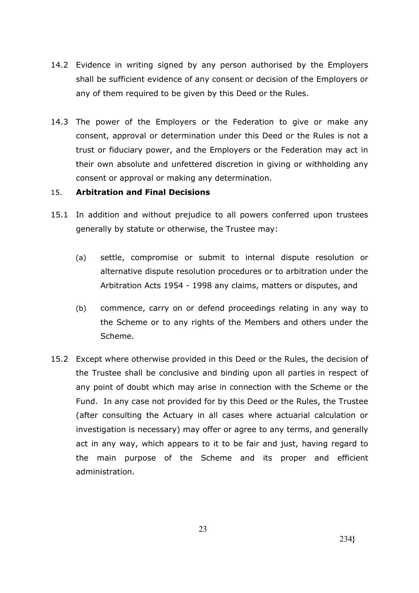- 14.2 Evidence in writing signed by any person authorised by the Employers shall be sufficient evidence of any consent or decision of the Employers or any of them required to be given by this Deed or the Rules.
- 14.3 The power of the Employers or the Federation to give or make any consent, approval or determination under this Deed or the Rules is not a trust or fiduciary power, and the Employers or the Federation may act in their own absolute and unfettered discretion in giving or withholding any consent or approval or making any determination.

# 15. **Arbitration and Final Decisions**

- 15.1 In addition and without prejudice to all powers conferred upon trustees generally by statute or otherwise, the Trustee may:
	- (a) settle, compromise or submit to internal dispute resolution or alternative dispute resolution procedures or to arbitration under the Arbitration Acts 1954 - 1998 any claims, matters or disputes, and
	- (b) commence, carry on or defend proceedings relating in any way to the Scheme or to any rights of the Members and others under the Scheme.
- 15.2 Except where otherwise provided in this Deed or the Rules, the decision of the Trustee shall be conclusive and binding upon all parties in respect of any point of doubt which may arise in connection with the Scheme or the Fund. In any case not provided for by this Deed or the Rules, the Trustee (after consulting the Actuary in all cases where actuarial calculation or investigation is necessary) may offer or agree to any terms, and generally act in any way, which appears to it to be fair and just, having regard to the main purpose of the Scheme and its proper and efficient administration.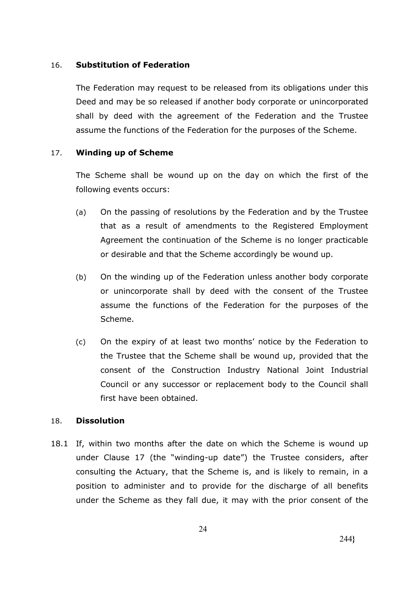#### 16. **Substitution of Federation**

The Federation may request to be released from its obligations under this Deed and may be so released if another body corporate or unincorporated shall by deed with the agreement of the Federation and the Trustee assume the functions of the Federation for the purposes of the Scheme.

# 17. **Winding up of Scheme**

The Scheme shall be wound up on the day on which the first of the following events occurs:

- (a) On the passing of resolutions by the Federation and by the Trustee that as a result of amendments to the Registered Employment Agreement the continuation of the Scheme is no longer practicable or desirable and that the Scheme accordingly be wound up.
- (b) On the winding up of the Federation unless another body corporate or unincorporate shall by deed with the consent of the Trustee assume the functions of the Federation for the purposes of the Scheme.
- (c) On the expiry of at least two months' notice by the Federation to the Trustee that the Scheme shall be wound up, provided that the consent of the Construction Industry National Joint Industrial Council or any successor or replacement body to the Council shall first have been obtained.

# 18. **Dissolution**

18.1 If, within two months after the date on which the Scheme is wound up under Clause 17 (the "winding-up date") the Trustee considers, after consulting the Actuary, that the Scheme is, and is likely to remain, in a position to administer and to provide for the discharge of all benefits under the Scheme as they fall due, it may with the prior consent of the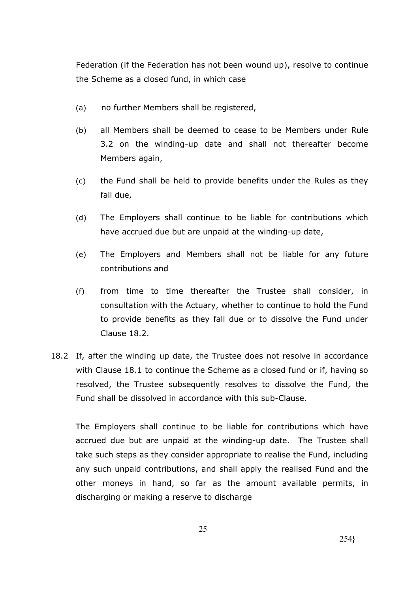Federation (if the Federation has not been wound up), resolve to continue the Scheme as a closed fund, in which case

- (a) no further Members shall be registered,
- (b) all Members shall be deemed to cease to be Members under Rule 3.2 on the winding-up date and shall not thereafter become Members again,
- (c) the Fund shall be held to provide benefits under the Rules as they fall due,
- (d) The Employers shall continue to be liable for contributions which have accrued due but are unpaid at the winding-up date,
- (e) The Employers and Members shall not be liable for any future contributions and
- (f) from time to time thereafter the Trustee shall consider, in consultation with the Actuary, whether to continue to hold the Fund to provide benefits as they fall due or to dissolve the Fund under Clause 18.2.
- 18.2 If, after the winding up date, the Trustee does not resolve in accordance with Clause 18.1 to continue the Scheme as a closed fund or if, having so resolved, the Trustee subsequently resolves to dissolve the Fund, the Fund shall be dissolved in accordance with this sub-Clause.

The Employers shall continue to be liable for contributions which have accrued due but are unpaid at the winding-up date. The Trustee shall take such steps as they consider appropriate to realise the Fund, including any such unpaid contributions, and shall apply the realised Fund and the other moneys in hand, so far as the amount available permits, in discharging or making a reserve to discharge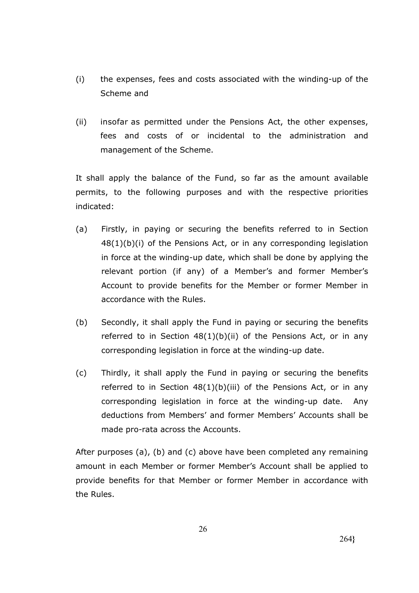- (i) the expenses, fees and costs associated with the winding-up of the Scheme and
- (ii) insofar as permitted under the Pensions Act, the other expenses, fees and costs of or incidental to the administration and management of the Scheme.

It shall apply the balance of the Fund, so far as the amount available permits, to the following purposes and with the respective priorities indicated:

- (a) Firstly, in paying or securing the benefits referred to in Section  $48(1)(b)(i)$  of the Pensions Act, or in any corresponding legislation in force at the winding-up date, which shall be done by applying the relevant portion (if any) of a Member's and former Member's Account to provide benefits for the Member or former Member in accordance with the Rules.
- (b) Secondly, it shall apply the Fund in paying or securing the benefits referred to in Section  $48(1)(b)(ii)$  of the Pensions Act, or in any corresponding legislation in force at the winding-up date.
- (c) Thirdly, it shall apply the Fund in paying or securing the benefits referred to in Section  $48(1)(b)(iii)$  of the Pensions Act, or in any corresponding legislation in force at the winding-up date. Any deductions from Members' and former Members' Accounts shall be made pro-rata across the Accounts.

After purposes (a), (b) and (c) above have been completed any remaining amount in each Member or former Member's Account shall be applied to provide benefits for that Member or former Member in accordance with the Rules.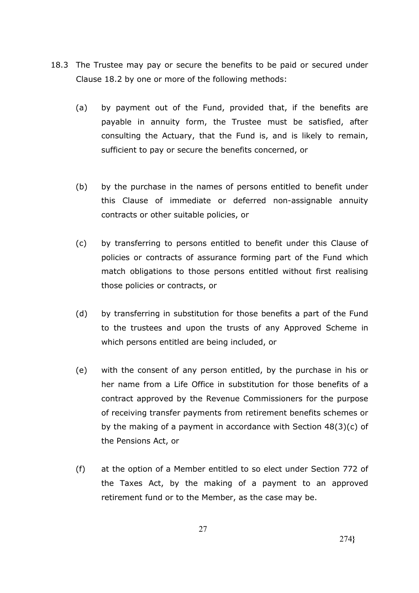- 18.3 The Trustee may pay or secure the benefits to be paid or secured under Clause 18.2 by one or more of the following methods:
	- (a) by payment out of the Fund, provided that, if the benefits are payable in annuity form, the Trustee must be satisfied, after consulting the Actuary, that the Fund is, and is likely to remain, sufficient to pay or secure the benefits concerned, or
	- (b) by the purchase in the names of persons entitled to benefit under this Clause of immediate or deferred non-assignable annuity contracts or other suitable policies, or
	- (c) by transferring to persons entitled to benefit under this Clause of policies or contracts of assurance forming part of the Fund which match obligations to those persons entitled without first realising those policies or contracts, or
	- (d) by transferring in substitution for those benefits a part of the Fund to the trustees and upon the trusts of any Approved Scheme in which persons entitled are being included, or
	- (e) with the consent of any person entitled, by the purchase in his or her name from a Life Office in substitution for those benefits of a contract approved by the Revenue Commissioners for the purpose of receiving transfer payments from retirement benefits schemes or by the making of a payment in accordance with Section 48(3)(c) of the Pensions Act, or
	- (f) at the option of a Member entitled to so elect under Section 772 of the Taxes Act, by the making of a payment to an approved retirement fund or to the Member, as the case may be.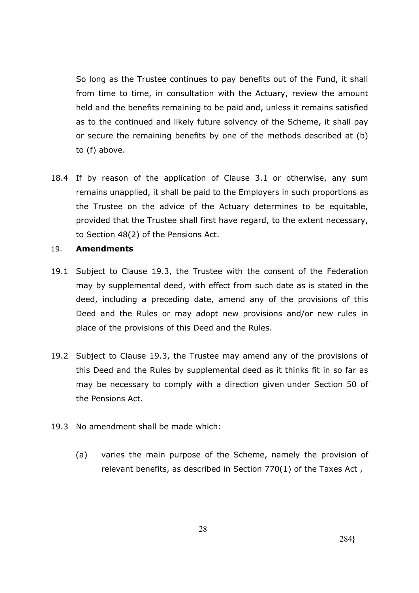So long as the Trustee continues to pay benefits out of the Fund, it shall from time to time, in consultation with the Actuary, review the amount held and the benefits remaining to be paid and, unless it remains satisfied as to the continued and likely future solvency of the Scheme, it shall pay or secure the remaining benefits by one of the methods described at (b) to (f) above.

- 18.4 If by reason of the application of Clause 3.1 or otherwise, any sum remains unapplied, it shall be paid to the Employers in such proportions as the Trustee on the advice of the Actuary determines to be equitable, provided that the Trustee shall first have regard, to the extent necessary, to Section 48(2) of the Pensions Act.
- 19. **Amendments**
- 19.1 Subject to Clause 19.3, the Trustee with the consent of the Federation may by supplemental deed, with effect from such date as is stated in the deed, including a preceding date, amend any of the provisions of this Deed and the Rules or may adopt new provisions and/or new rules in place of the provisions of this Deed and the Rules.
- 19.2 Subject to Clause 19.3, the Trustee may amend any of the provisions of this Deed and the Rules by supplemental deed as it thinks fit in so far as may be necessary to comply with a direction given under Section 50 of the Pensions Act.
- 19.3 No amendment shall be made which:
	- (a) varies the main purpose of the Scheme, namely the provision of relevant benefits, as described in Section 770(1) of the Taxes Act ,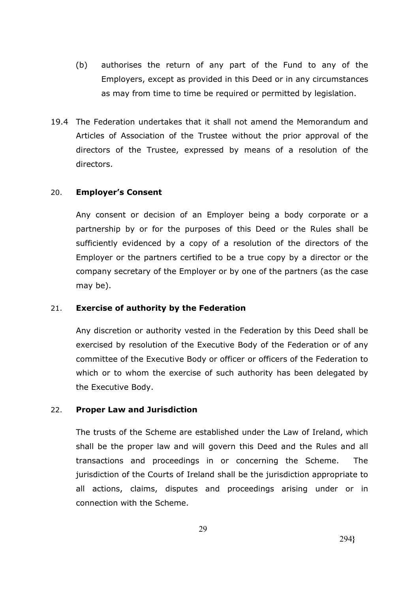- (b) authorises the return of any part of the Fund to any of the Employers, except as provided in this Deed or in any circumstances as may from time to time be required or permitted by legislation.
- 19.4 The Federation undertakes that it shall not amend the Memorandum and Articles of Association of the Trustee without the prior approval of the directors of the Trustee, expressed by means of a resolution of the directors.

### 20. **Employer's Consent**

Any consent or decision of an Employer being a body corporate or a partnership by or for the purposes of this Deed or the Rules shall be sufficiently evidenced by a copy of a resolution of the directors of the Employer or the partners certified to be a true copy by a director or the company secretary of the Employer or by one of the partners (as the case may be).

# 21. **Exercise of authority by the Federation**

Any discretion or authority vested in the Federation by this Deed shall be exercised by resolution of the Executive Body of the Federation or of any committee of the Executive Body or officer or officers of the Federation to which or to whom the exercise of such authority has been delegated by the Executive Body.

#### 22. **Proper Law and Jurisdiction**

The trusts of the Scheme are established under the Law of Ireland, which shall be the proper law and will govern this Deed and the Rules and all transactions and proceedings in or concerning the Scheme. The jurisdiction of the Courts of Ireland shall be the jurisdiction appropriate to all actions, claims, disputes and proceedings arising under or in connection with the Scheme.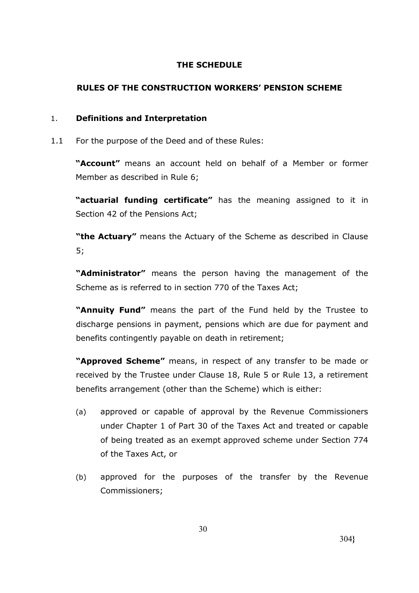# **THE SCHEDULE**

# **RULES OF THE CONSTRUCTION WORKERS' PENSION SCHEME**

# 1. **Definitions and Interpretation**

1.1 For the purpose of the Deed and of these Rules:

**"Account"** means an account held on behalf of a Member or former Member as described in Rule 6;

**"actuarial funding certificate"** has the meaning assigned to it in Section 42 of the Pensions Act;

**"the Actuary"** means the Actuary of the Scheme as described in Clause 5;

**"Administrator"** means the person having the management of the Scheme as is referred to in section 770 of the Taxes Act;

**"Annuity Fund"** means the part of the Fund held by the Trustee to discharge pensions in payment, pensions which are due for payment and benefits contingently payable on death in retirement;

**"Approved Scheme"** means, in respect of any transfer to be made or received by the Trustee under Clause 18, Rule 5 or Rule 13, a retirement benefits arrangement (other than the Scheme) which is either:

- (a) approved or capable of approval by the Revenue Commissioners under Chapter 1 of Part 30 of the Taxes Act and treated or capable of being treated as an exempt approved scheme under Section 774 of the Taxes Act, or
- (b) approved for the purposes of the transfer by the Revenue Commissioners;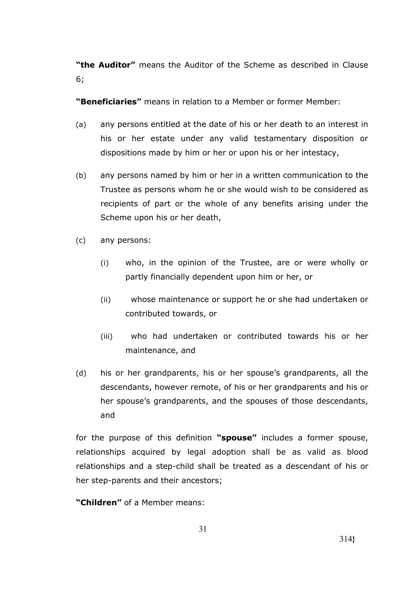**"the Auditor"** means the Auditor of the Scheme as described in Clause 6;

**"Beneficiaries"** means in relation to a Member or former Member:

- (a) any persons entitled at the date of his or her death to an interest in his or her estate under any valid testamentary disposition or dispositions made by him or her or upon his or her intestacy,
- (b) any persons named by him or her in a written communication to the Trustee as persons whom he or she would wish to be considered as recipients of part or the whole of any benefits arising under the Scheme upon his or her death,
- (c) any persons:
	- (i) who, in the opinion of the Trustee, are or were wholly or partly financially dependent upon him or her, or
	- (ii) whose maintenance or support he or she had undertaken or contributed towards, or
	- (iii) who had undertaken or contributed towards his or her maintenance, and
- (d) his or her grandparents, his or her spouse's grandparents, all the descendants, however remote, of his or her grandparents and his or her spouse's grandparents, and the spouses of those descendants, and

for the purpose of this definition **"spouse"** includes a former spouse, relationships acquired by legal adoption shall be as valid as blood relationships and a step-child shall be treated as a descendant of his or her step-parents and their ancestors;

**"Children"** of a Member means: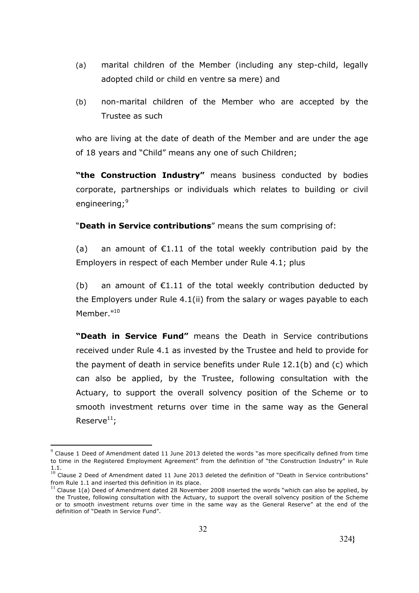- (a) marital children of the Member (including any step-child, legally adopted child or child en ventre sa mere) and
- (b) non-marital children of the Member who are accepted by the Trustee as such

who are living at the date of death of the Member and are under the age of 18 years and "Child" means any one of such Children;

**"the Construction Industry"** means business conducted by bodies corporate, partnerships or individuals which relates to building or civil engineering;<sup>9</sup>

"**Death in Service contributions**" means the sum comprising of:

(a) an amount of  $E1.11$  of the total weekly contribution paid by the Employers in respect of each Member under Rule 4.1; plus

(b) an amount of  $E1.11$  of the total weekly contribution deducted by the Employers under Rule 4.1(ii) from the salary or wages payable to each Member."<sup>10</sup>

**"Death in Service Fund"** means the Death in Service contributions received under Rule 4.1 as invested by the Trustee and held to provide for the payment of death in service benefits under Rule 12.1(b) and (c) which can also be applied, by the Trustee, following consultation with the Actuary, to support the overall solvency position of the Scheme or to smooth investment returns over time in the same way as the General Reserve $^{11}$ ;

<u>.</u>

 $^{9}$  Clause 1 Deed of Amendment dated 11 June 2013 deleted the words "as more specifically defined from time to time in the Registered Employment Agreement" from the definition of "the Construction Industry" in Rule 1.1. <sup>10</sup> Clause 2 Deed of Amendment dated 11 June 2013 deleted the definition of "Death in Service contributions"

from Rule 1.1 and inserted this definition in its place.

 $\frac{11}{11}$  Clause 1(a) Deed of Amendment dated 28 November 2008 inserted the words "which can also be applied, by the Trustee, following consultation with the Actuary, to support the overall solvency position of the Scheme or to smooth investment returns over time in the same way as the General Reserve" at the end of the definition of "Death in Service Fund".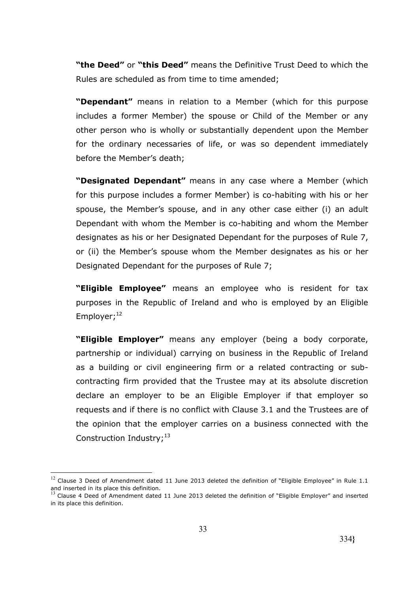**"the Deed"** or **"this Deed"** means the Definitive Trust Deed to which the Rules are scheduled as from time to time amended;

**"Dependant"** means in relation to a Member (which for this purpose includes a former Member) the spouse or Child of the Member or any other person who is wholly or substantially dependent upon the Member for the ordinary necessaries of life, or was so dependent immediately before the Member's death;

**"Designated Dependant"** means in any case where a Member (which for this purpose includes a former Member) is co-habiting with his or her spouse, the Member's spouse, and in any other case either (i) an adult Dependant with whom the Member is co-habiting and whom the Member designates as his or her Designated Dependant for the purposes of Rule 7, or (ii) the Member's spouse whom the Member designates as his or her Designated Dependant for the purposes of Rule 7;

**"Eligible Employee"** means an employee who is resident for tax purposes in the Republic of Ireland and who is employed by an Eligible Employer; 12

**"Eligible Employer"** means any employer (being a body corporate, partnership or individual) carrying on business in the Republic of Ireland as a building or civil engineering firm or a related contracting or subcontracting firm provided that the Trustee may at its absolute discretion declare an employer to be an Eligible Employer if that employer so requests and if there is no conflict with Clause 3.1 and the Trustees are of the opinion that the employer carries on a business connected with the Construction Industry;<sup>13</sup>

1

 $12$  Clause 3 Deed of Amendment dated 11 June 2013 deleted the definition of "Eligible Employee" in Rule 1.1 and inserted in its place this definition.

 $<sup>3</sup>$  Clause 4 Deed of Amendment dated 11 June 2013 deleted the definition of "Eligible Employer" and inserted</sup> in its place this definition.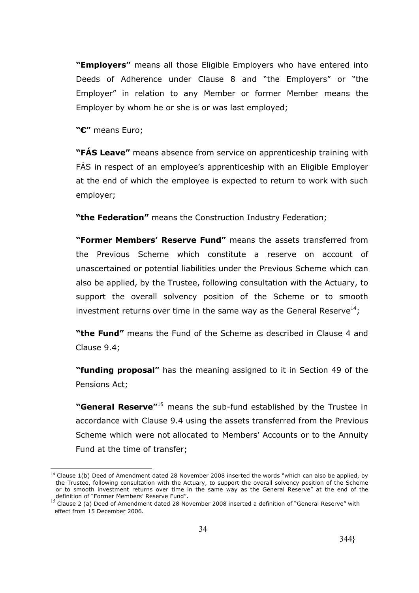**"Employers"** means all those Eligible Employers who have entered into Deeds of Adherence under Clause 8 and "the Employers" or "the Employer" in relation to any Member or former Member means the Employer by whom he or she is or was last employed;

**"€"** means Euro;

1

**"FÁS Leave"** means absence from service on apprenticeship training with FÁS in respect of an employee's apprenticeship with an Eligible Employer at the end of which the employee is expected to return to work with such employer;

**"the Federation"** means the Construction Industry Federation;

**"Former Members' Reserve Fund"** means the assets transferred from the Previous Scheme which constitute a reserve on account of unascertained or potential liabilities under the Previous Scheme which can also be applied, by the Trustee, following consultation with the Actuary, to support the overall solvency position of the Scheme or to smooth investment returns over time in the same way as the General Reserve<sup>14</sup>;

**"the Fund"** means the Fund of the Scheme as described in Clause 4 and Clause 9.4;

**"funding proposal"** has the meaning assigned to it in Section 49 of the Pensions Act;

**"General Reserve"**<sup>15</sup> means the sub-fund established by the Trustee in accordance with Clause 9.4 using the assets transferred from the Previous Scheme which were not allocated to Members' Accounts or to the Annuity Fund at the time of transfer;

 $14$  Clause 1(b) Deed of Amendment dated 28 November 2008 inserted the words "which can also be applied, by the Trustee, following consultation with the Actuary, to support the overall solvency position of the Scheme or to smooth investment returns over time in the same way as the General Reserve" at the end of the definition of "Former Members' Reserve Fund".

<sup>&</sup>lt;sup>15</sup> Clause 2 (a) Deed of Amendment dated 28 November 2008 inserted a definition of "General Reserve" with effect from 15 December 2006.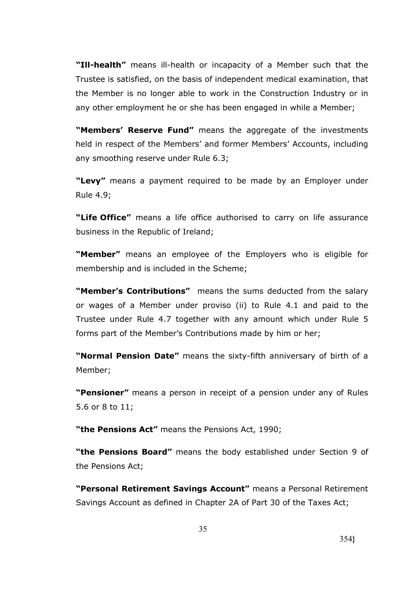**"Ill-health"** means ill-health or incapacity of a Member such that the Trustee is satisfied, on the basis of independent medical examination, that the Member is no longer able to work in the Construction Industry or in any other employment he or she has been engaged in while a Member;

**"Members' Reserve Fund"** means the aggregate of the investments held in respect of the Members' and former Members' Accounts, including any smoothing reserve under Rule 6.3;

**"Levy"** means a payment required to be made by an Employer under Rule 4.9;

**"Life Office"** means a life office authorised to carry on life assurance business in the Republic of Ireland;

**"Member"** means an employee of the Employers who is eligible for membership and is included in the Scheme;

**"Member's Contributions"** means the sums deducted from the salary or wages of a Member under proviso (ii) to Rule 4.1 and paid to the Trustee under Rule 4.7 together with any amount which under Rule 5 forms part of the Member's Contributions made by him or her;

**"Normal Pension Date"** means the sixty-fifth anniversary of birth of a Member;

**"Pensioner"** means a person in receipt of a pension under any of Rules 5.6 or 8 to 11;

**"the Pensions Act"** means the Pensions Act, 1990;

**"the Pensions Board"** means the body established under Section 9 of the Pensions Act;

**"Personal Retirement Savings Account"** means a Personal Retirement Savings Account as defined in Chapter 2A of Part 30 of the Taxes Act;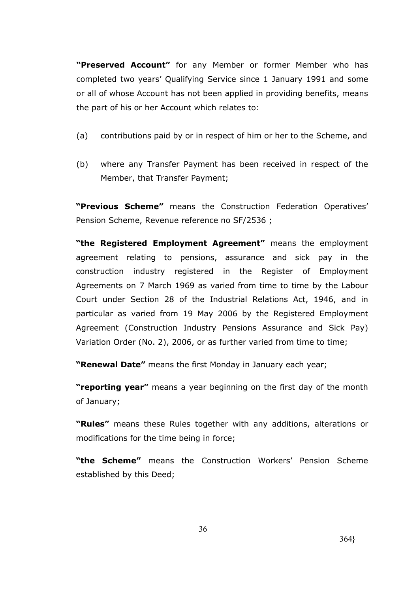**"Preserved Account"** for any Member or former Member who has completed two years' Qualifying Service since 1 January 1991 and some or all of whose Account has not been applied in providing benefits, means the part of his or her Account which relates to:

- (a) contributions paid by or in respect of him or her to the Scheme, and
- (b) where any Transfer Payment has been received in respect of the Member, that Transfer Payment;

**"Previous Scheme"** means the Construction Federation Operatives' Pension Scheme, Revenue reference no SF/2536 ;

**"the Registered Employment Agreement"** means the employment agreement relating to pensions, assurance and sick pay in the construction industry registered in the Register of Employment Agreements on 7 March 1969 as varied from time to time by the Labour Court under Section 28 of the Industrial Relations Act, 1946, and in particular as varied from 19 May 2006 by the Registered Employment Agreement (Construction Industry Pensions Assurance and Sick Pay) Variation Order (No. 2), 2006, or as further varied from time to time;

**"Renewal Date"** means the first Monday in January each year;

**"reporting year"** means a year beginning on the first day of the month of January;

**"Rules"** means these Rules together with any additions, alterations or modifications for the time being in force;

**"the Scheme"** means the Construction Workers' Pension Scheme established by this Deed;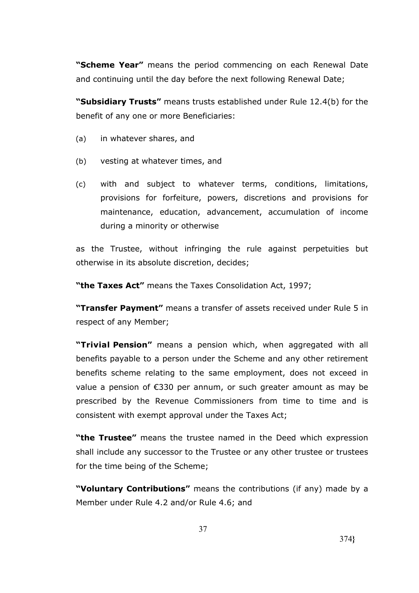**"Scheme Year"** means the period commencing on each Renewal Date and continuing until the day before the next following Renewal Date;

**"Subsidiary Trusts"** means trusts established under Rule 12.4(b) for the benefit of any one or more Beneficiaries:

- (a) in whatever shares, and
- (b) vesting at whatever times, and
- (c) with and subject to whatever terms, conditions, limitations, provisions for forfeiture, powers, discretions and provisions for maintenance, education, advancement, accumulation of income during a minority or otherwise

as the Trustee, without infringing the rule against perpetuities but otherwise in its absolute discretion, decides;

**"the Taxes Act"** means the Taxes Consolidation Act, 1997;

**"Transfer Payment"** means a transfer of assets received under Rule 5 in respect of any Member;

**"Trivial Pension"** means a pension which, when aggregated with all benefits payable to a person under the Scheme and any other retirement benefits scheme relating to the same employment, does not exceed in value a pension of €330 per annum, or such greater amount as may be prescribed by the Revenue Commissioners from time to time and is consistent with exempt approval under the Taxes Act;

**"the Trustee"** means the trustee named in the Deed which expression shall include any successor to the Trustee or any other trustee or trustees for the time being of the Scheme;

**"Voluntary Contributions"** means the contributions (if any) made by a Member under Rule 4.2 and/or Rule 4.6; and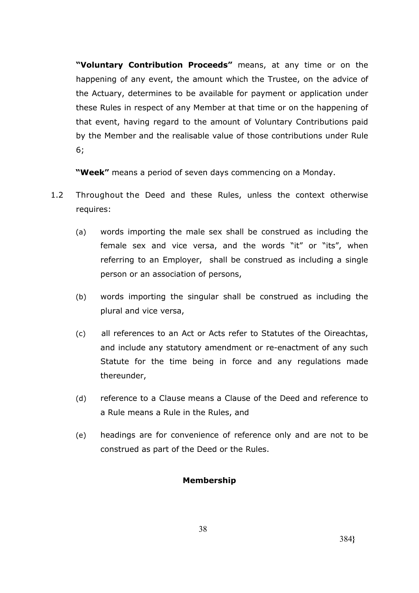**"Voluntary Contribution Proceeds"** means, at any time or on the happening of any event, the amount which the Trustee, on the advice of the Actuary, determines to be available for payment or application under these Rules in respect of any Member at that time or on the happening of that event, having regard to the amount of Voluntary Contributions paid by the Member and the realisable value of those contributions under Rule 6;

**"Week"** means a period of seven days commencing on a Monday.

- 1.2 Throughout the Deed and these Rules, unless the context otherwise requires:
	- (a) words importing the male sex shall be construed as including the female sex and vice versa, and the words "it" or "its", when referring to an Employer, shall be construed as including a single person or an association of persons,
	- (b) words importing the singular shall be construed as including the plural and vice versa,
	- (c) all references to an Act or Acts refer to Statutes of the Oireachtas, and include any statutory amendment or re-enactment of any such Statute for the time being in force and any regulations made thereunder,
	- (d) reference to a Clause means a Clause of the Deed and reference to a Rule means a Rule in the Rules, and
	- (e) headings are for convenience of reference only and are not to be construed as part of the Deed or the Rules.

# **Membership**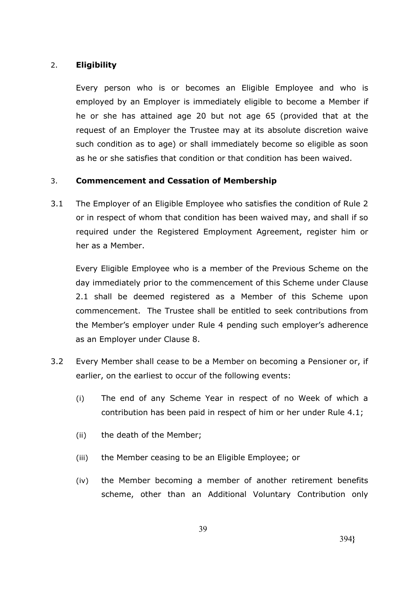# 2. **Eligibility**

Every person who is or becomes an Eligible Employee and who is employed by an Employer is immediately eligible to become a Member if he or she has attained age 20 but not age 65 (provided that at the request of an Employer the Trustee may at its absolute discretion waive such condition as to age) or shall immediately become so eligible as soon as he or she satisfies that condition or that condition has been waived.

# 3. **Commencement and Cessation of Membership**

3.1 The Employer of an Eligible Employee who satisfies the condition of Rule 2 or in respect of whom that condition has been waived may, and shall if so required under the Registered Employment Agreement, register him or her as a Member.

Every Eligible Employee who is a member of the Previous Scheme on the day immediately prior to the commencement of this Scheme under Clause 2.1 shall be deemed registered as a Member of this Scheme upon commencement. The Trustee shall be entitled to seek contributions from the Member's employer under Rule 4 pending such employer's adherence as an Employer under Clause 8.

- 3.2 Every Member shall cease to be a Member on becoming a Pensioner or, if earlier, on the earliest to occur of the following events:
	- (i) The end of any Scheme Year in respect of no Week of which a contribution has been paid in respect of him or her under Rule 4.1;
	- (ii) the death of the Member;
	- (iii) the Member ceasing to be an Eligible Employee; or
	- (iv) the Member becoming a member of another retirement benefits scheme, other than an Additional Voluntary Contribution only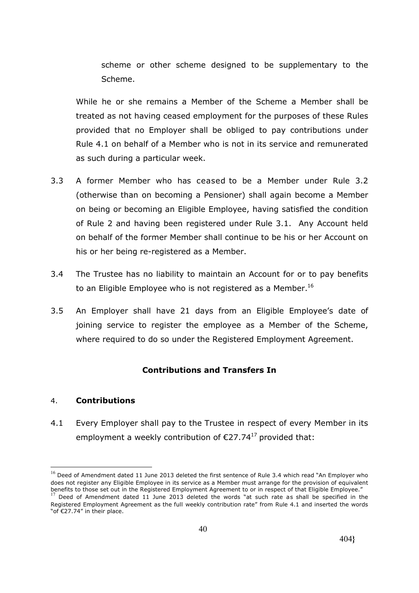scheme or other scheme designed to be supplementary to the Scheme.

While he or she remains a Member of the Scheme a Member shall be treated as not having ceased employment for the purposes of these Rules provided that no Employer shall be obliged to pay contributions under Rule 4.1 on behalf of a Member who is not in its service and remunerated as such during a particular week.

- 3.3 A former Member who has ceased to be a Member under Rule 3.2 (otherwise than on becoming a Pensioner) shall again become a Member on being or becoming an Eligible Employee, having satisfied the condition of Rule 2 and having been registered under Rule 3.1. Any Account held on behalf of the former Member shall continue to be his or her Account on his or her being re-registered as a Member.
- 3.4 The Trustee has no liability to maintain an Account for or to pay benefits to an Eligible Employee who is not registered as a Member.<sup>16</sup>
- 3.5 An Employer shall have 21 days from an Eligible Employee's date of joining service to register the employee as a Member of the Scheme, where required to do so under the Registered Employment Agreement.

# **Contributions and Transfers In**

#### 4. **Contributions**

1

4.1 Every Employer shall pay to the Trustee in respect of every Member in its employment a weekly contribution of  $\epsilon$ 27.74<sup>17</sup> provided that:

 $16$  Deed of Amendment dated 11 June 2013 deleted the first sentence of Rule 3.4 which read "An Employer who does not register any Eligible Employee in its service as a Member must arrange for the provision of equivalent benefits to those set out in the Registered Employment Agreement to or in respect of that Eligible Employee." <sup>17</sup> Deed of Amendment dated 11 June 2013 deleted the words "at such rate as shall be specified in the Registered Employment Agreement as the full weekly contribution rate" from Rule 4.1 and inserted the words "of €27.74" in their place.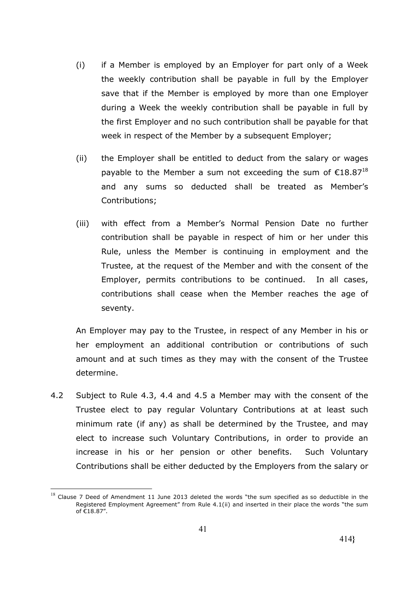- (i) if a Member is employed by an Employer for part only of a Week the weekly contribution shall be payable in full by the Employer save that if the Member is employed by more than one Employer during a Week the weekly contribution shall be payable in full by the first Employer and no such contribution shall be payable for that week in respect of the Member by a subsequent Employer;
- (ii) the Employer shall be entitled to deduct from the salary or wages payable to the Member a sum not exceeding the sum of  $\epsilon$ 18.87<sup>18</sup> and any sums so deducted shall be treated as Member's Contributions;
- (iii) with effect from a Member's Normal Pension Date no further contribution shall be payable in respect of him or her under this Rule, unless the Member is continuing in employment and the Trustee, at the request of the Member and with the consent of the Employer, permits contributions to be continued. In all cases, contributions shall cease when the Member reaches the age of seventy.

An Employer may pay to the Trustee, in respect of any Member in his or her employment an additional contribution or contributions of such amount and at such times as they may with the consent of the Trustee determine.

4.2 Subject to Rule 4.3, 4.4 and 4.5 a Member may with the consent of the Trustee elect to pay regular Voluntary Contributions at at least such minimum rate (if any) as shall be determined by the Trustee, and may elect to increase such Voluntary Contributions, in order to provide an increase in his or her pension or other benefits. Such Voluntary Contributions shall be either deducted by the Employers from the salary or

<sup>&</sup>lt;u>.</u>  $^{18}$  Clause 7 Deed of Amendment 11 June 2013 deleted the words "the sum specified as so deductible in the Registered Employment Agreement" from Rule 4.1(ii) and inserted in their place the words "the sum of €18.87".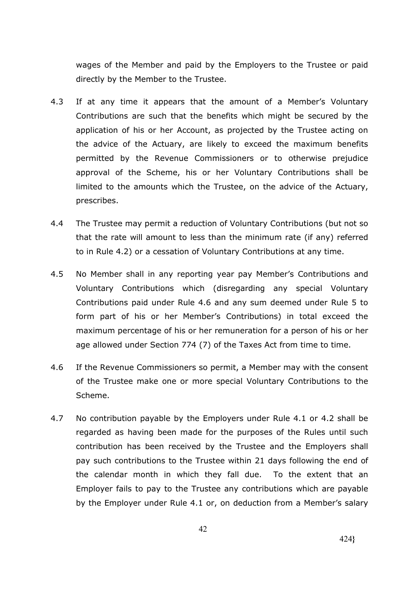wages of the Member and paid by the Employers to the Trustee or paid directly by the Member to the Trustee.

- 4.3 If at any time it appears that the amount of a Member's Voluntary Contributions are such that the benefits which might be secured by the application of his or her Account, as projected by the Trustee acting on the advice of the Actuary, are likely to exceed the maximum benefits permitted by the Revenue Commissioners or to otherwise prejudice approval of the Scheme, his or her Voluntary Contributions shall be limited to the amounts which the Trustee, on the advice of the Actuary, prescribes.
- 4.4 The Trustee may permit a reduction of Voluntary Contributions (but not so that the rate will amount to less than the minimum rate (if any) referred to in Rule 4.2) or a cessation of Voluntary Contributions at any time.
- 4.5 No Member shall in any reporting year pay Member's Contributions and Voluntary Contributions which (disregarding any special Voluntary Contributions paid under Rule 4.6 and any sum deemed under Rule 5 to form part of his or her Member's Contributions) in total exceed the maximum percentage of his or her remuneration for a person of his or her age allowed under Section 774 (7) of the Taxes Act from time to time.
- 4.6 If the Revenue Commissioners so permit, a Member may with the consent of the Trustee make one or more special Voluntary Contributions to the Scheme.
- 4.7 No contribution payable by the Employers under Rule 4.1 or 4.2 shall be regarded as having been made for the purposes of the Rules until such contribution has been received by the Trustee and the Employers shall pay such contributions to the Trustee within 21 days following the end of the calendar month in which they fall due. To the extent that an Employer fails to pay to the Trustee any contributions which are payable by the Employer under Rule 4.1 or, on deduction from a Member's salary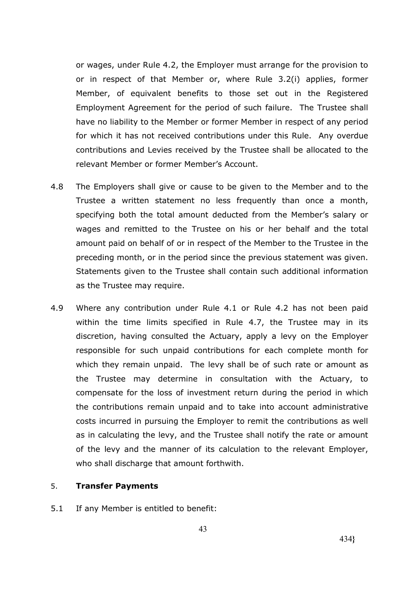or wages, under Rule 4.2, the Employer must arrange for the provision to or in respect of that Member or, where Rule 3.2(i) applies, former Member, of equivalent benefits to those set out in the Registered Employment Agreement for the period of such failure. The Trustee shall have no liability to the Member or former Member in respect of any period for which it has not received contributions under this Rule. Any overdue contributions and Levies received by the Trustee shall be allocated to the relevant Member or former Member's Account.

- 4.8 The Employers shall give or cause to be given to the Member and to the Trustee a written statement no less frequently than once a month, specifying both the total amount deducted from the Member's salary or wages and remitted to the Trustee on his or her behalf and the total amount paid on behalf of or in respect of the Member to the Trustee in the preceding month, or in the period since the previous statement was given. Statements given to the Trustee shall contain such additional information as the Trustee may require.
- 4.9 Where any contribution under Rule 4.1 or Rule 4.2 has not been paid within the time limits specified in Rule 4.7, the Trustee may in its discretion, having consulted the Actuary, apply a levy on the Employer responsible for such unpaid contributions for each complete month for which they remain unpaid. The levy shall be of such rate or amount as the Trustee may determine in consultation with the Actuary, to compensate for the loss of investment return during the period in which the contributions remain unpaid and to take into account administrative costs incurred in pursuing the Employer to remit the contributions as well as in calculating the levy, and the Trustee shall notify the rate or amount of the levy and the manner of its calculation to the relevant Employer, who shall discharge that amount forthwith.

#### 5. **Transfer Payments**

5.1 If any Member is entitled to benefit: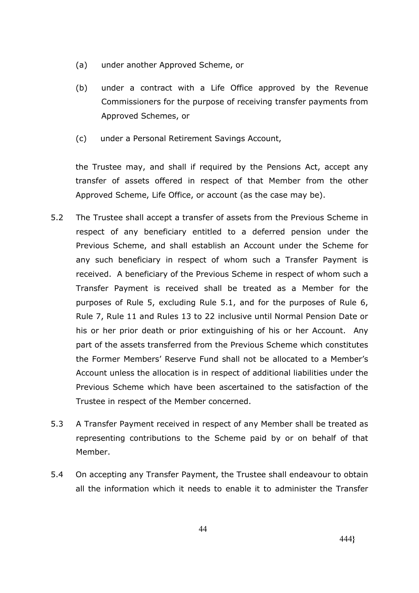- (a) under another Approved Scheme, or
- (b) under a contract with a Life Office approved by the Revenue Commissioners for the purpose of receiving transfer payments from Approved Schemes, or
- (c) under a Personal Retirement Savings Account,

the Trustee may, and shall if required by the Pensions Act, accept any transfer of assets offered in respect of that Member from the other Approved Scheme, Life Office, or account (as the case may be).

- 5.2 The Trustee shall accept a transfer of assets from the Previous Scheme in respect of any beneficiary entitled to a deferred pension under the Previous Scheme, and shall establish an Account under the Scheme for any such beneficiary in respect of whom such a Transfer Payment is received. A beneficiary of the Previous Scheme in respect of whom such a Transfer Payment is received shall be treated as a Member for the purposes of Rule 5, excluding Rule 5.1, and for the purposes of Rule 6, Rule 7, Rule 11 and Rules 13 to 22 inclusive until Normal Pension Date or his or her prior death or prior extinguishing of his or her Account. Any part of the assets transferred from the Previous Scheme which constitutes the Former Members' Reserve Fund shall not be allocated to a Member's Account unless the allocation is in respect of additional liabilities under the Previous Scheme which have been ascertained to the satisfaction of the Trustee in respect of the Member concerned.
- 5.3 A Transfer Payment received in respect of any Member shall be treated as representing contributions to the Scheme paid by or on behalf of that Member.
- 5.4 On accepting any Transfer Payment, the Trustee shall endeavour to obtain all the information which it needs to enable it to administer the Transfer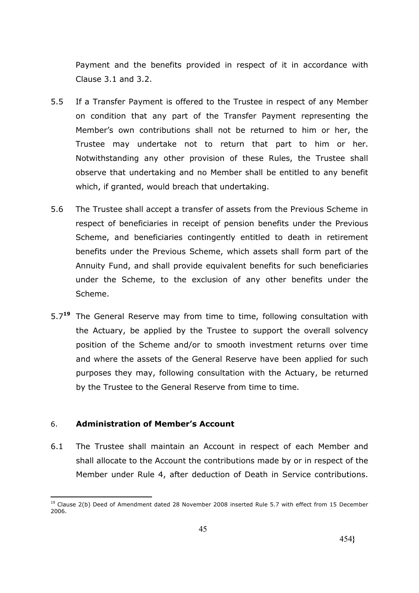Payment and the benefits provided in respect of it in accordance with Clause 3.1 and 3.2.

- 5.5 If a Transfer Payment is offered to the Trustee in respect of any Member on condition that any part of the Transfer Payment representing the Member's own contributions shall not be returned to him or her, the Trustee may undertake not to return that part to him or her. Notwithstanding any other provision of these Rules, the Trustee shall observe that undertaking and no Member shall be entitled to any benefit which, if granted, would breach that undertaking.
- 5.6 The Trustee shall accept a transfer of assets from the Previous Scheme in respect of beneficiaries in receipt of pension benefits under the Previous Scheme, and beneficiaries contingently entitled to death in retirement benefits under the Previous Scheme, which assets shall form part of the Annuity Fund, and shall provide equivalent benefits for such beneficiaries under the Scheme, to the exclusion of any other benefits under the Scheme.
- 5.7**<sup>19</sup>** The General Reserve may from time to time, following consultation with the Actuary, be applied by the Trustee to support the overall solvency position of the Scheme and/or to smooth investment returns over time and where the assets of the General Reserve have been applied for such purposes they may, following consultation with the Actuary, be returned by the Trustee to the General Reserve from time to time.

# 6. **Administration of Member's Account**

6.1 The Trustee shall maintain an Account in respect of each Member and shall allocate to the Account the contributions made by or in respect of the Member under Rule 4, after deduction of Death in Service contributions.

<sup>&</sup>lt;u>.</u> <sup>19</sup> Clause 2(b) Deed of Amendment dated 28 November 2008 inserted Rule 5.7 with effect from 15 December 2006.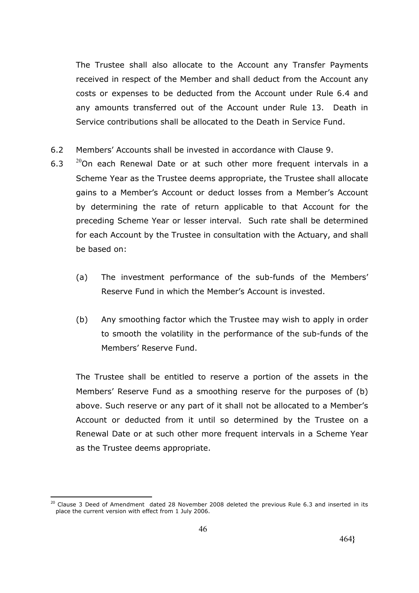The Trustee shall also allocate to the Account any Transfer Payments received in respect of the Member and shall deduct from the Account any costs or expenses to be deducted from the Account under Rule 6.4 and any amounts transferred out of the Account under Rule 13. Death in Service contributions shall be allocated to the Death in Service Fund.

- 6.2 Members' Accounts shall be invested in accordance with Clause 9.
- 6.3  $^{20}$ On each Renewal Date or at such other more frequent intervals in a Scheme Year as the Trustee deems appropriate, the Trustee shall allocate gains to a Member's Account or deduct losses from a Member's Account by determining the rate of return applicable to that Account for the preceding Scheme Year or lesser interval. Such rate shall be determined for each Account by the Trustee in consultation with the Actuary, and shall be based on:
	- (a) The investment performance of the sub-funds of the Members' Reserve Fund in which the Member's Account is invested.
	- (b) Any smoothing factor which the Trustee may wish to apply in order to smooth the volatility in the performance of the sub-funds of the Members' Reserve Fund.

The Trustee shall be entitled to reserve a portion of the assets in the Members' Reserve Fund as a smoothing reserve for the purposes of (b) above. Such reserve or any part of it shall not be allocated to a Member's Account or deducted from it until so determined by the Trustee on a Renewal Date or at such other more frequent intervals in a Scheme Year as the Trustee deems appropriate.

<sup>&</sup>lt;u>.</u>  $^{20}$  Clause 3 Deed of Amendment dated 28 November 2008 deleted the previous Rule 6.3 and inserted in its place the current version with effect from 1 July 2006.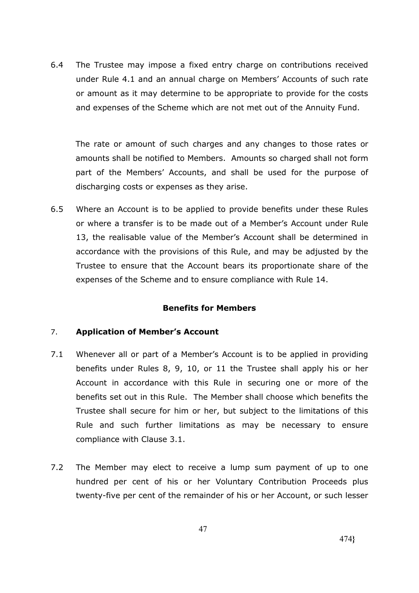6.4 The Trustee may impose a fixed entry charge on contributions received under Rule 4.1 and an annual charge on Members' Accounts of such rate or amount as it may determine to be appropriate to provide for the costs and expenses of the Scheme which are not met out of the Annuity Fund.

The rate or amount of such charges and any changes to those rates or amounts shall be notified to Members. Amounts so charged shall not form part of the Members' Accounts, and shall be used for the purpose of discharging costs or expenses as they arise.

6.5 Where an Account is to be applied to provide benefits under these Rules or where a transfer is to be made out of a Member's Account under Rule 13, the realisable value of the Member's Account shall be determined in accordance with the provisions of this Rule, and may be adjusted by the Trustee to ensure that the Account bears its proportionate share of the expenses of the Scheme and to ensure compliance with Rule 14.

# **Benefits for Members**

# 7. **Application of Member's Account**

- 7.1 Whenever all or part of a Member's Account is to be applied in providing benefits under Rules 8, 9, 10, or 11 the Trustee shall apply his or her Account in accordance with this Rule in securing one or more of the benefits set out in this Rule. The Member shall choose which benefits the Trustee shall secure for him or her, but subject to the limitations of this Rule and such further limitations as may be necessary to ensure compliance with Clause 3.1.
- 7.2 The Member may elect to receive a lump sum payment of up to one hundred per cent of his or her Voluntary Contribution Proceeds plus twenty-five per cent of the remainder of his or her Account, or such lesser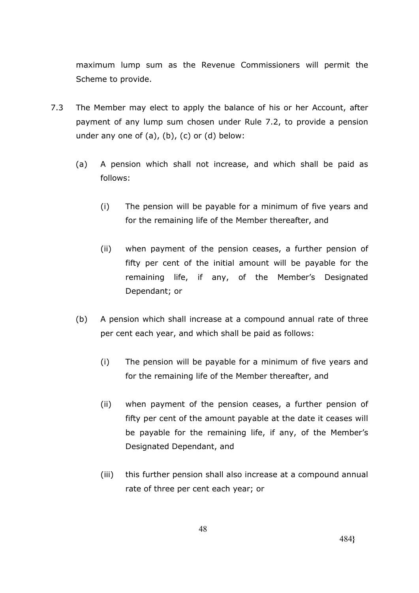maximum lump sum as the Revenue Commissioners will permit the Scheme to provide.

- 7.3 The Member may elect to apply the balance of his or her Account, after payment of any lump sum chosen under Rule 7.2, to provide a pension under any one of (a), (b), (c) or (d) below:
	- (a) A pension which shall not increase, and which shall be paid as follows:
		- (i) The pension will be payable for a minimum of five years and for the remaining life of the Member thereafter, and
		- (ii) when payment of the pension ceases, a further pension of fifty per cent of the initial amount will be payable for the remaining life, if any, of the Member's Designated Dependant; or
	- (b) A pension which shall increase at a compound annual rate of three per cent each year, and which shall be paid as follows:
		- (i) The pension will be payable for a minimum of five years and for the remaining life of the Member thereafter, and
		- (ii) when payment of the pension ceases, a further pension of fifty per cent of the amount payable at the date it ceases will be payable for the remaining life, if any, of the Member's Designated Dependant, and
		- (iii) this further pension shall also increase at a compound annual rate of three per cent each year; or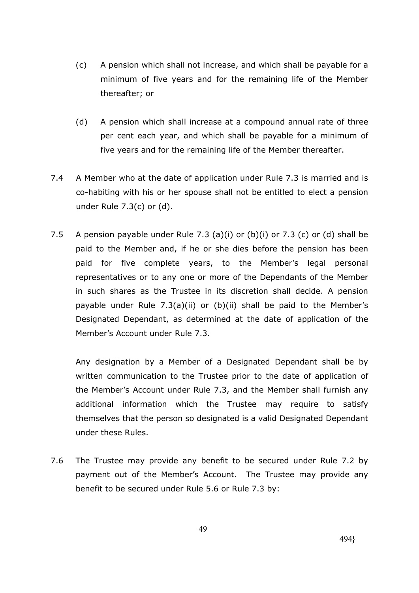- (c) A pension which shall not increase, and which shall be payable for a minimum of five years and for the remaining life of the Member thereafter; or
- (d) A pension which shall increase at a compound annual rate of three per cent each year, and which shall be payable for a minimum of five years and for the remaining life of the Member thereafter.
- 7.4 A Member who at the date of application under Rule 7.3 is married and is co-habiting with his or her spouse shall not be entitled to elect a pension under Rule 7.3(c) or (d).
- 7.5 A pension payable under Rule 7.3 (a)(i) or (b)(i) or 7.3 (c) or (d) shall be paid to the Member and, if he or she dies before the pension has been paid for five complete years, to the Member's legal personal representatives or to any one or more of the Dependants of the Member in such shares as the Trustee in its discretion shall decide. A pension payable under Rule 7.3(a)(ii) or (b)(ii) shall be paid to the Member's Designated Dependant, as determined at the date of application of the Member's Account under Rule 7.3.

Any designation by a Member of a Designated Dependant shall be by written communication to the Trustee prior to the date of application of the Member's Account under Rule 7.3, and the Member shall furnish any additional information which the Trustee may require to satisfy themselves that the person so designated is a valid Designated Dependant under these Rules.

7.6 The Trustee may provide any benefit to be secured under Rule 7.2 by payment out of the Member's Account. The Trustee may provide any benefit to be secured under Rule 5.6 or Rule 7.3 by: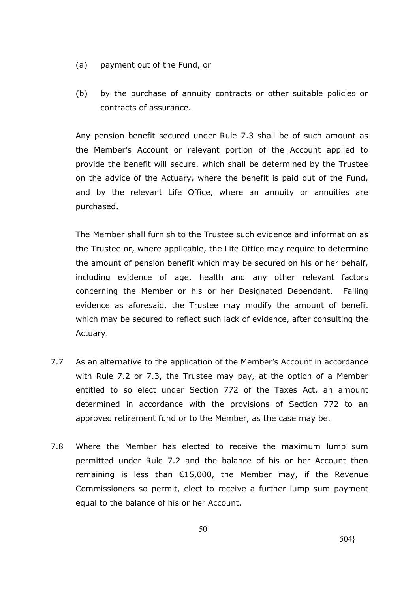- (a) payment out of the Fund, or
- (b) by the purchase of annuity contracts or other suitable policies or contracts of assurance.

Any pension benefit secured under Rule 7.3 shall be of such amount as the Member's Account or relevant portion of the Account applied to provide the benefit will secure, which shall be determined by the Trustee on the advice of the Actuary, where the benefit is paid out of the Fund, and by the relevant Life Office, where an annuity or annuities are purchased.

The Member shall furnish to the Trustee such evidence and information as the Trustee or, where applicable, the Life Office may require to determine the amount of pension benefit which may be secured on his or her behalf, including evidence of age, health and any other relevant factors concerning the Member or his or her Designated Dependant. Failing evidence as aforesaid, the Trustee may modify the amount of benefit which may be secured to reflect such lack of evidence, after consulting the Actuary.

- 7.7 As an alternative to the application of the Member's Account in accordance with Rule 7.2 or 7.3, the Trustee may pay, at the option of a Member entitled to so elect under Section 772 of the Taxes Act, an amount determined in accordance with the provisions of Section 772 to an approved retirement fund or to the Member, as the case may be.
- 7.8 Where the Member has elected to receive the maximum lump sum permitted under Rule 7.2 and the balance of his or her Account then remaining is less than €15,000, the Member may, if the Revenue Commissioners so permit, elect to receive a further lump sum payment equal to the balance of his or her Account.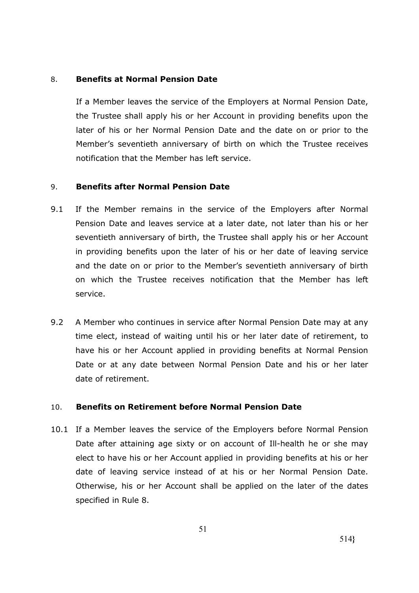### 8. **Benefits at Normal Pension Date**

If a Member leaves the service of the Employers at Normal Pension Date, the Trustee shall apply his or her Account in providing benefits upon the later of his or her Normal Pension Date and the date on or prior to the Member's seventieth anniversary of birth on which the Trustee receives notification that the Member has left service.

### 9. **Benefits after Normal Pension Date**

- 9.1 If the Member remains in the service of the Employers after Normal Pension Date and leaves service at a later date, not later than his or her seventieth anniversary of birth, the Trustee shall apply his or her Account in providing benefits upon the later of his or her date of leaving service and the date on or prior to the Member's seventieth anniversary of birth on which the Trustee receives notification that the Member has left service.
- 9.2 A Member who continues in service after Normal Pension Date may at any time elect, instead of waiting until his or her later date of retirement, to have his or her Account applied in providing benefits at Normal Pension Date or at any date between Normal Pension Date and his or her later date of retirement.

# 10. **Benefits on Retirement before Normal Pension Date**

10.1 If a Member leaves the service of the Employers before Normal Pension Date after attaining age sixty or on account of Ill-health he or she may elect to have his or her Account applied in providing benefits at his or her date of leaving service instead of at his or her Normal Pension Date. Otherwise, his or her Account shall be applied on the later of the dates specified in Rule 8.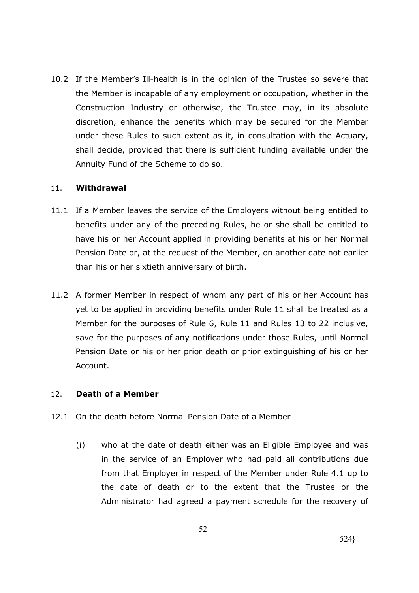10.2 If the Member's Ill-health is in the opinion of the Trustee so severe that the Member is incapable of any employment or occupation, whether in the Construction Industry or otherwise, the Trustee may, in its absolute discretion, enhance the benefits which may be secured for the Member under these Rules to such extent as it, in consultation with the Actuary, shall decide, provided that there is sufficient funding available under the Annuity Fund of the Scheme to do so.

# 11. **Withdrawal**

- 11.1 If a Member leaves the service of the Employers without being entitled to benefits under any of the preceding Rules, he or she shall be entitled to have his or her Account applied in providing benefits at his or her Normal Pension Date or, at the request of the Member, on another date not earlier than his or her sixtieth anniversary of birth.
- 11.2 A former Member in respect of whom any part of his or her Account has yet to be applied in providing benefits under Rule 11 shall be treated as a Member for the purposes of Rule 6, Rule 11 and Rules 13 to 22 inclusive, save for the purposes of any notifications under those Rules, until Normal Pension Date or his or her prior death or prior extinguishing of his or her Account.

# 12. **Death of a Member**

- 12.1 On the death before Normal Pension Date of a Member
	- (i) who at the date of death either was an Eligible Employee and was in the service of an Employer who had paid all contributions due from that Employer in respect of the Member under Rule 4.1 up to the date of death or to the extent that the Trustee or the Administrator had agreed a payment schedule for the recovery of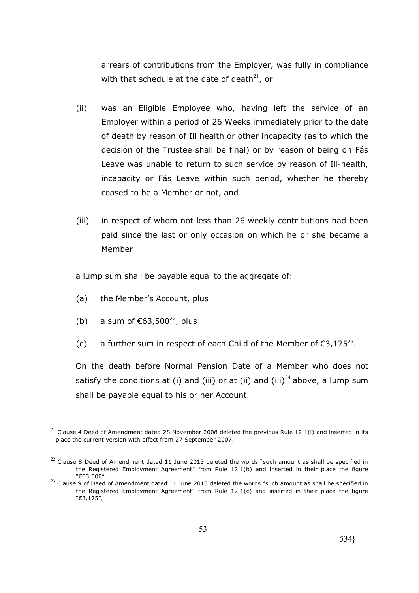arrears of contributions from the Employer, was fully in compliance with that schedule at the date of death $^{21}$ , or

- (ii) was an Eligible Employee who, having left the service of an Employer within a period of 26 Weeks immediately prior to the date of death by reason of Ill health or other incapacity (as to which the decision of the Trustee shall be final) or by reason of being on Fás Leave was unable to return to such service by reason of Ill-health, incapacity or Fás Leave within such period, whether he thereby ceased to be a Member or not, and
- (iii) in respect of whom not less than 26 weekly contributions had been paid since the last or only occasion on which he or she became a Member

a lump sum shall be payable equal to the aggregate of:

- (a) the Member's Account, plus
- (b) a sum of  $\epsilon$ 63,500<sup>22</sup>, plus

<u>.</u>

(c) a further sum in respect of each Child of the Member of  $\epsilon$ 3,175<sup>23</sup>.

On the death before Normal Pension Date of a Member who does not satisfy the conditions at (i) and (iii) or at (ii) and (iii)<sup>24</sup> above, a lump sum shall be payable equal to his or her Account.

 $^{21}$  Clause 4 Deed of Amendment dated 28 November 2008 deleted the previous Rule 12.1(i) and inserted in its place the current version with effect from 27 September 2007.

 $22$  Clause 8 Deed of Amendment dated 11 June 2013 deleted the words "such amount as shall be specified in the Registered Employment Agreement" from Rule 12.1(b) and inserted in their place the figure "€63,500".

 $^{23}$  Clause 9 of Deed of Amendment dated 11 June 2013 deleted the words "such amount as shall be specified in the Registered Employment Agreement" from Rule 12.1(c) and inserted in their place the figure "€3,175".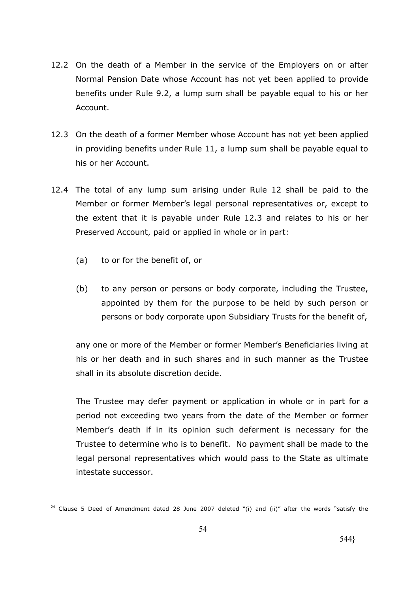- 12.2 On the death of a Member in the service of the Employers on or after Normal Pension Date whose Account has not yet been applied to provide benefits under Rule 9.2, a lump sum shall be payable equal to his or her Account.
- 12.3 On the death of a former Member whose Account has not yet been applied in providing benefits under Rule 11, a lump sum shall be payable equal to his or her Account.
- 12.4 The total of any lump sum arising under Rule 12 shall be paid to the Member or former Member's legal personal representatives or, except to the extent that it is payable under Rule 12.3 and relates to his or her Preserved Account, paid or applied in whole or in part:
	- (a) to or for the benefit of, or

<u>.</u>

(b) to any person or persons or body corporate, including the Trustee, appointed by them for the purpose to be held by such person or persons or body corporate upon Subsidiary Trusts for the benefit of,

any one or more of the Member or former Member's Beneficiaries living at his or her death and in such shares and in such manner as the Trustee shall in its absolute discretion decide.

The Trustee may defer payment or application in whole or in part for a period not exceeding two years from the date of the Member or former Member's death if in its opinion such deferment is necessary for the Trustee to determine who is to benefit. No payment shall be made to the legal personal representatives which would pass to the State as ultimate intestate successor.

<sup>&</sup>lt;sup>24</sup> Clause 5 Deed of Amendment dated 28 June 2007 deleted "(i) and (ii)" after the words "satisfy the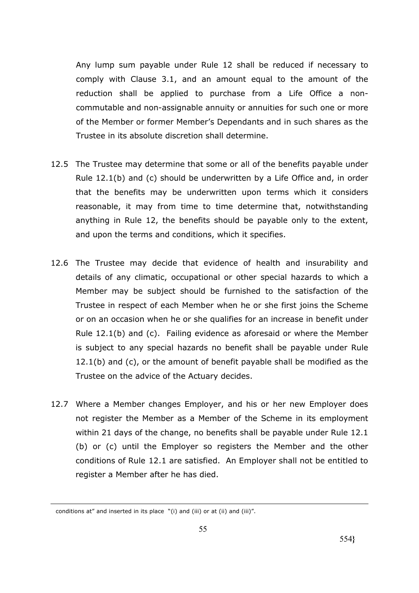Any lump sum payable under Rule 12 shall be reduced if necessary to comply with Clause 3.1, and an amount equal to the amount of the reduction shall be applied to purchase from a Life Office a noncommutable and non-assignable annuity or annuities for such one or more of the Member or former Member's Dependants and in such shares as the Trustee in its absolute discretion shall determine.

- 12.5 The Trustee may determine that some or all of the benefits payable under Rule 12.1(b) and (c) should be underwritten by a Life Office and, in order that the benefits may be underwritten upon terms which it considers reasonable, it may from time to time determine that, notwithstanding anything in Rule 12, the benefits should be payable only to the extent, and upon the terms and conditions, which it specifies.
- 12.6 The Trustee may decide that evidence of health and insurability and details of any climatic, occupational or other special hazards to which a Member may be subject should be furnished to the satisfaction of the Trustee in respect of each Member when he or she first joins the Scheme or on an occasion when he or she qualifies for an increase in benefit under Rule 12.1(b) and (c). Failing evidence as aforesaid or where the Member is subject to any special hazards no benefit shall be payable under Rule 12.1(b) and (c), or the amount of benefit payable shall be modified as the Trustee on the advice of the Actuary decides.
- 12.7 Where a Member changes Employer, and his or her new Employer does not register the Member as a Member of the Scheme in its employment within 21 days of the change, no benefits shall be payable under Rule 12.1 (b) or (c) until the Employer so registers the Member and the other conditions of Rule 12.1 are satisfied. An Employer shall not be entitled to register a Member after he has died.

<u>.</u>

conditions at" and inserted in its place "(i) and (iii) or at (ii) and (iii)".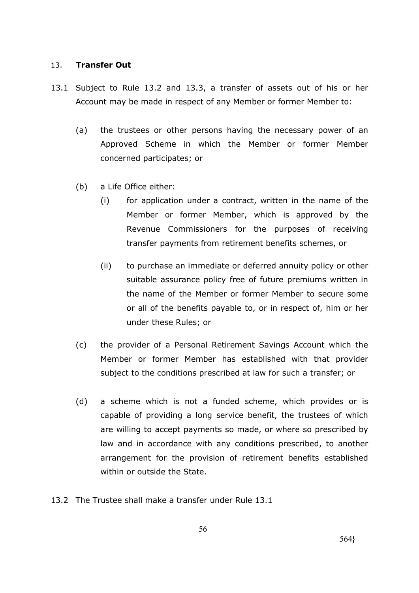#### 13. **Transfer Out**

- 13.1 Subject to Rule 13.2 and 13.3, a transfer of assets out of his or her Account may be made in respect of any Member or former Member to:
	- (a) the trustees or other persons having the necessary power of an Approved Scheme in which the Member or former Member concerned participates; or
	- (b) a Life Office either:
		- (i) for application under a contract, written in the name of the Member or former Member, which is approved by the Revenue Commissioners for the purposes of receiving transfer payments from retirement benefits schemes, or
		- (ii) to purchase an immediate or deferred annuity policy or other suitable assurance policy free of future premiums written in the name of the Member or former Member to secure some or all of the benefits payable to, or in respect of, him or her under these Rules; or
	- (c) the provider of a Personal Retirement Savings Account which the Member or former Member has established with that provider subject to the conditions prescribed at law for such a transfer; or
	- (d) a scheme which is not a funded scheme, which provides or is capable of providing a long service benefit, the trustees of which are willing to accept payments so made, or where so prescribed by law and in accordance with any conditions prescribed, to another arrangement for the provision of retirement benefits established within or outside the State.
- 13.2 The Trustee shall make a transfer under Rule 13.1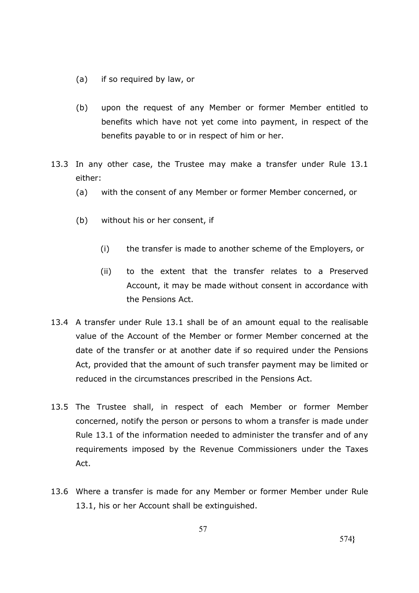- (a) if so required by law, or
- (b) upon the request of any Member or former Member entitled to benefits which have not yet come into payment, in respect of the benefits payable to or in respect of him or her.
- 13.3 In any other case, the Trustee may make a transfer under Rule 13.1 either:
	- (a) with the consent of any Member or former Member concerned, or
	- (b) without his or her consent, if
		- (i) the transfer is made to another scheme of the Employers, or
		- (ii) to the extent that the transfer relates to a Preserved Account, it may be made without consent in accordance with the Pensions Act.
- 13.4 A transfer under Rule 13.1 shall be of an amount equal to the realisable value of the Account of the Member or former Member concerned at the date of the transfer or at another date if so required under the Pensions Act, provided that the amount of such transfer payment may be limited or reduced in the circumstances prescribed in the Pensions Act.
- 13.5 The Trustee shall, in respect of each Member or former Member concerned, notify the person or persons to whom a transfer is made under Rule 13.1 of the information needed to administer the transfer and of any requirements imposed by the Revenue Commissioners under the Taxes Act.
- 13.6 Where a transfer is made for any Member or former Member under Rule 13.1, his or her Account shall be extinguished.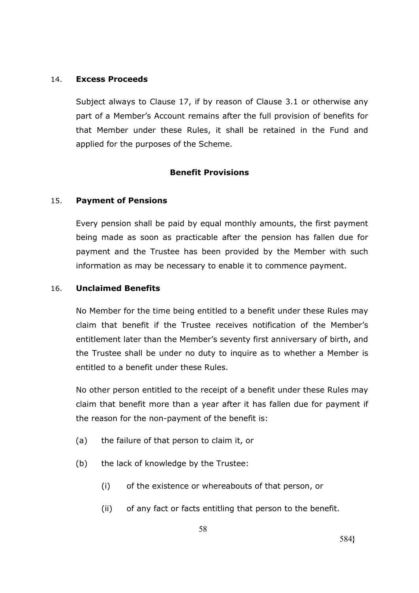### 14. **Excess Proceeds**

Subject always to Clause 17, if by reason of Clause 3.1 or otherwise any part of a Member's Account remains after the full provision of benefits for that Member under these Rules, it shall be retained in the Fund and applied for the purposes of the Scheme.

# **Benefit Provisions**

# 15. **Payment of Pensions**

Every pension shall be paid by equal monthly amounts, the first payment being made as soon as practicable after the pension has fallen due for payment and the Trustee has been provided by the Member with such information as may be necessary to enable it to commence payment.

### 16. **Unclaimed Benefits**

No Member for the time being entitled to a benefit under these Rules may claim that benefit if the Trustee receives notification of the Member's entitlement later than the Member's seventy first anniversary of birth, and the Trustee shall be under no duty to inquire as to whether a Member is entitled to a benefit under these Rules.

No other person entitled to the receipt of a benefit under these Rules may claim that benefit more than a year after it has fallen due for payment if the reason for the non-payment of the benefit is:

- (a) the failure of that person to claim it, or
- (b) the lack of knowledge by the Trustee:
	- (i) of the existence or whereabouts of that person, or
	- (ii) of any fact or facts entitling that person to the benefit.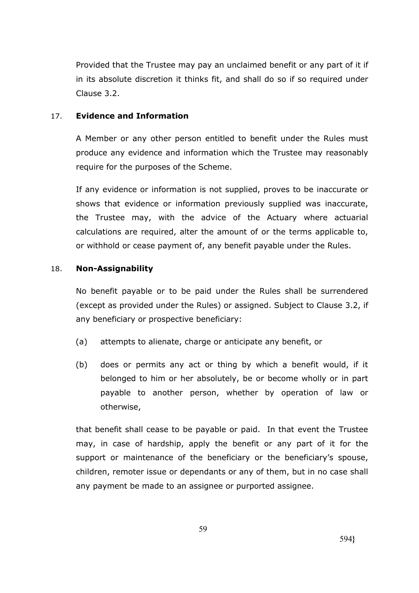Provided that the Trustee may pay an unclaimed benefit or any part of it if in its absolute discretion it thinks fit, and shall do so if so required under Clause 3.2.

# 17. **Evidence and Information**

A Member or any other person entitled to benefit under the Rules must produce any evidence and information which the Trustee may reasonably require for the purposes of the Scheme.

If any evidence or information is not supplied, proves to be inaccurate or shows that evidence or information previously supplied was inaccurate, the Trustee may, with the advice of the Actuary where actuarial calculations are required, alter the amount of or the terms applicable to, or withhold or cease payment of, any benefit payable under the Rules.

# 18. **Non-Assignability**

No benefit payable or to be paid under the Rules shall be surrendered (except as provided under the Rules) or assigned. Subject to Clause 3.2, if any beneficiary or prospective beneficiary:

- (a) attempts to alienate, charge or anticipate any benefit, or
- (b) does or permits any act or thing by which a benefit would, if it belonged to him or her absolutely, be or become wholly or in part payable to another person, whether by operation of law or otherwise,

that benefit shall cease to be payable or paid. In that event the Trustee may, in case of hardship, apply the benefit or any part of it for the support or maintenance of the beneficiary or the beneficiary's spouse, children, remoter issue or dependants or any of them, but in no case shall any payment be made to an assignee or purported assignee.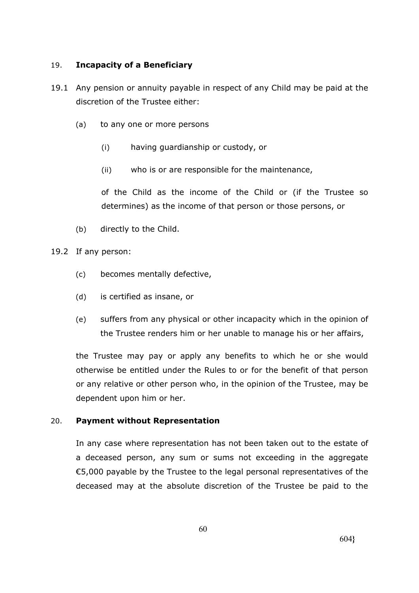# 19. **Incapacity of a Beneficiary**

- 19.1 Any pension or annuity payable in respect of any Child may be paid at the discretion of the Trustee either:
	- (a) to any one or more persons
		- (i) having guardianship or custody, or
		- (ii) who is or are responsible for the maintenance,

of the Child as the income of the Child or (if the Trustee so determines) as the income of that person or those persons, or

(b) directly to the Child.

# 19.2 If any person:

- (c) becomes mentally defective,
- (d) is certified as insane, or
- (e) suffers from any physical or other incapacity which in the opinion of the Trustee renders him or her unable to manage his or her affairs,

the Trustee may pay or apply any benefits to which he or she would otherwise be entitled under the Rules to or for the benefit of that person or any relative or other person who, in the opinion of the Trustee, may be dependent upon him or her.

# 20. **Payment without Representation**

In any case where representation has not been taken out to the estate of a deceased person, any sum or sums not exceeding in the aggregate €5,000 payable by the Trustee to the legal personal representatives of the deceased may at the absolute discretion of the Trustee be paid to the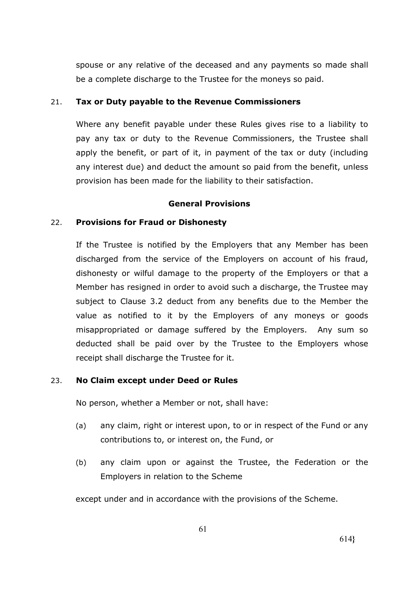spouse or any relative of the deceased and any payments so made shall be a complete discharge to the Trustee for the moneys so paid.

# 21. **Tax or Duty payable to the Revenue Commissioners**

Where any benefit payable under these Rules gives rise to a liability to pay any tax or duty to the Revenue Commissioners, the Trustee shall apply the benefit, or part of it, in payment of the tax or duty (including any interest due) and deduct the amount so paid from the benefit, unless provision has been made for the liability to their satisfaction.

# **General Provisions**

# 22. **Provisions for Fraud or Dishonesty**

If the Trustee is notified by the Employers that any Member has been discharged from the service of the Employers on account of his fraud, dishonesty or wilful damage to the property of the Employers or that a Member has resigned in order to avoid such a discharge, the Trustee may subject to Clause 3.2 deduct from any benefits due to the Member the value as notified to it by the Employers of any moneys or goods misappropriated or damage suffered by the Employers. Any sum so deducted shall be paid over by the Trustee to the Employers whose receipt shall discharge the Trustee for it.

# 23. **No Claim except under Deed or Rules**

No person, whether a Member or not, shall have:

- (a) any claim, right or interest upon, to or in respect of the Fund or any contributions to, or interest on, the Fund, or
- (b) any claim upon or against the Trustee, the Federation or the Employers in relation to the Scheme

except under and in accordance with the provisions of the Scheme.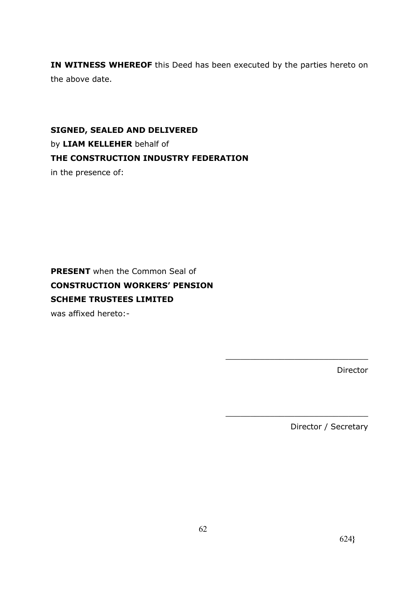**IN WITNESS WHEREOF** this Deed has been executed by the parties hereto on the above date.

**SIGNED, SEALED AND DELIVERED** by **LIAM KELLEHER** behalf of **THE CONSTRUCTION INDUSTRY FEDERATION** in the presence of:

**PRESENT** when the Common Seal of **CONSTRUCTION WORKERS' PENSION SCHEME TRUSTEES LIMITED**

was affixed hereto:-

Director

Director / Secretary

\_\_\_\_\_\_\_\_\_\_\_\_\_\_\_\_\_\_\_\_\_\_\_\_\_\_\_\_\_

\_\_\_\_\_\_\_\_\_\_\_\_\_\_\_\_\_\_\_\_\_\_\_\_\_\_\_\_\_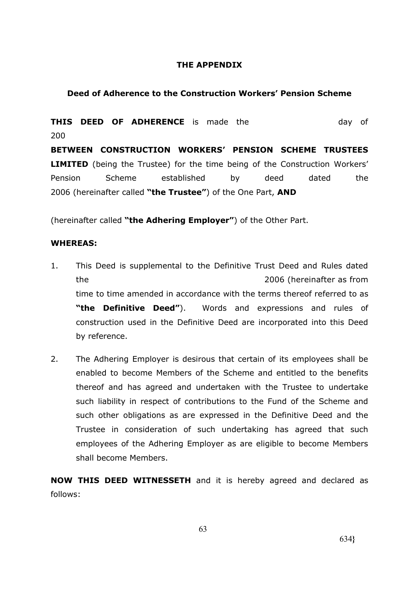# **THE APPENDIX**

### **Deed of Adherence to the Construction Workers' Pension Scheme**

**THIS DEED OF ADHERENCE** is made the day of 200 **BETWEEN CONSTRUCTION WORKERS' PENSION SCHEME TRUSTEES LIMITED** (being the Trustee) for the time being of the Construction Workers' Pension Scheme established by deed dated the 2006 (hereinafter called **"the Trustee"**) of the One Part, **AND**

(hereinafter called **"the Adhering Employer"**) of the Other Part.

#### **WHEREAS:**

- 1. This Deed is supplemental to the Definitive Trust Deed and Rules dated the 2006 (hereinafter as from time to time amended in accordance with the terms thereof referred to as **"the Definitive Deed"**). Words and expressions and rules of construction used in the Definitive Deed are incorporated into this Deed by reference.
- 2. The Adhering Employer is desirous that certain of its employees shall be enabled to become Members of the Scheme and entitled to the benefits thereof and has agreed and undertaken with the Trustee to undertake such liability in respect of contributions to the Fund of the Scheme and such other obligations as are expressed in the Definitive Deed and the Trustee in consideration of such undertaking has agreed that such employees of the Adhering Employer as are eligible to become Members shall become Members.

**NOW THIS DEED WITNESSETH** and it is hereby agreed and declared as follows: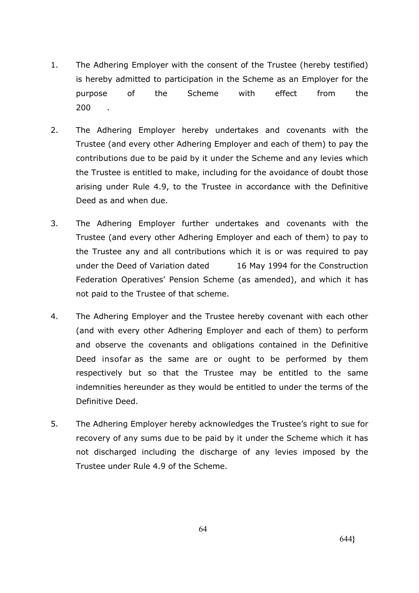- 1. The Adhering Employer with the consent of the Trustee (hereby testified) is hereby admitted to participation in the Scheme as an Employer for the purpose of the Scheme with effect from the 200 .
- 2. The Adhering Employer hereby undertakes and covenants with the Trustee (and every other Adhering Employer and each of them) to pay the contributions due to be paid by it under the Scheme and any levies which the Trustee is entitled to make, including for the avoidance of doubt those arising under Rule 4.9, to the Trustee in accordance with the Definitive Deed as and when due.
- 3. The Adhering Employer further undertakes and covenants with the Trustee (and every other Adhering Employer and each of them) to pay to the Trustee any and all contributions which it is or was required to pay under the Deed of Variation dated 16 May 1994 for the Construction Federation Operatives' Pension Scheme (as amended), and which it has not paid to the Trustee of that scheme.
- 4. The Adhering Employer and the Trustee hereby covenant with each other (and with every other Adhering Employer and each of them) to perform and observe the covenants and obligations contained in the Definitive Deed insofar as the same are or ought to be performed by them respectively but so that the Trustee may be entitled to the same indemnities hereunder as they would be entitled to under the terms of the Definitive Deed.
- 5. The Adhering Employer hereby acknowledges the Trustee's right to sue for recovery of any sums due to be paid by it under the Scheme which it has not discharged including the discharge of any levies imposed by the Trustee under Rule 4.9 of the Scheme.